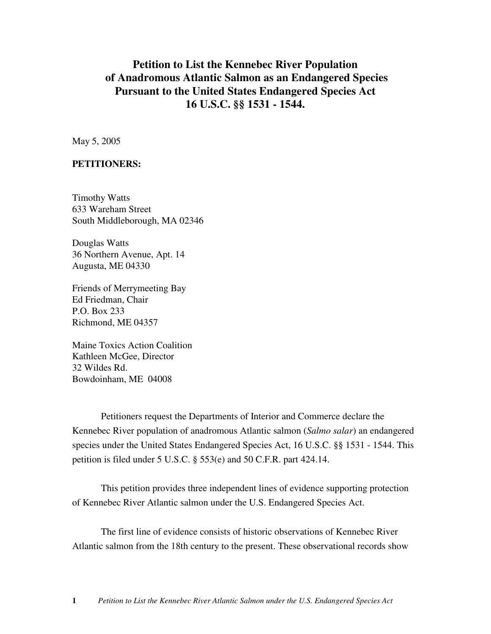# **Petition to List the Kennebec River Population of Anadromous Atlantic Salmon as an Endangered Species Pursuant to the United States Endangered Species Act 16 U.S.C. §§ 1531 - 1544.**

May 5, 2005

#### **PETITIONERS:**

Timothy Watts 633 Wareham Street South Middleborough, MA 02346

Douglas Watts 36 Northern Avenue, Apt. 14 Augusta, ME 04330

Friends of Merrymeeting Bay Ed Friedman, Chair P.O. Box 233 Richmond, ME 04357

Maine Toxics Action Coalition Kathleen McGee, Director 32 Wildes Rd. Bowdoinham, ME 04008

Petitioners request the Departments of Interior and Commerce declare the Kennebec River population of anadromous Atlantic salmon (*Salmo salar*) an endangered species under the United States Endangered Species Act, 16 U.S.C. §§ 1531 - 1544. This petition is filed under 5 U.S.C. § 553(e) and 50 C.F.R. part 424.14.

This petition provides three independent lines of evidence supporting protection of Kennebec River Atlantic salmon under the U.S. Endangered Species Act.

The first line of evidence consists of historic observations of Kennebec River Atlantic salmon from the 18th century to the present. These observational records show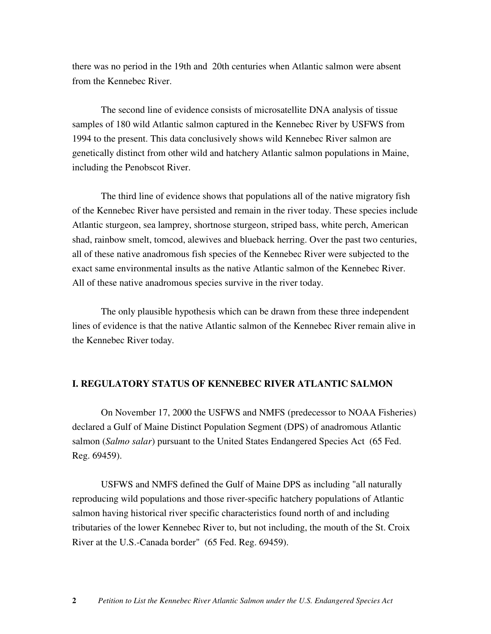there was no period in the 19th and 20th centuries when Atlantic salmon were absent from the Kennebec River.

The second line of evidence consists of microsatellite DNA analysis of tissue samples of 180 wild Atlantic salmon captured in the Kennebec River by USFWS from 1994 to the present. This data conclusively shows wild Kennebec River salmon are genetically distinct from other wild and hatchery Atlantic salmon populations in Maine, including the Penobscot River.

The third line of evidence shows that populations all of the native migratory fish of the Kennebec River have persisted and remain in the river today. These species include Atlantic sturgeon, sea lamprey, shortnose sturgeon, striped bass, white perch, American shad, rainbow smelt, tomcod, alewives and blueback herring. Over the past two centuries, all of these native anadromous fish species of the Kennebec River were subjected to the exact same environmental insults as the native Atlantic salmon of the Kennebec River. All of these native anadromous species survive in the river today.

The only plausible hypothesis which can be drawn from these three independent lines of evidence is that the native Atlantic salmon of the Kennebec River remain alive in the Kennebec River today.

### **I. REGULATORY STATUS OF KENNEBEC RIVER ATLANTIC SALMON**

On November 17, 2000 the USFWS and NMFS (predecessor to NOAA Fisheries) declared a Gulf of Maine Distinct Population Segment (DPS) of anadromous Atlantic salmon (*Salmo salar*) pursuant to the United States Endangered Species Act (65 Fed. Reg. 69459).

USFWS and NMFS defined the Gulf of Maine DPS as including "all naturally reproducing wild populations and those river-specific hatchery populations of Atlantic salmon having historical river specific characteristics found north of and including tributaries of the lower Kennebec River to, but not including, the mouth of the St. Croix River at the U.S.-Canada border" (65 Fed. Reg. 69459).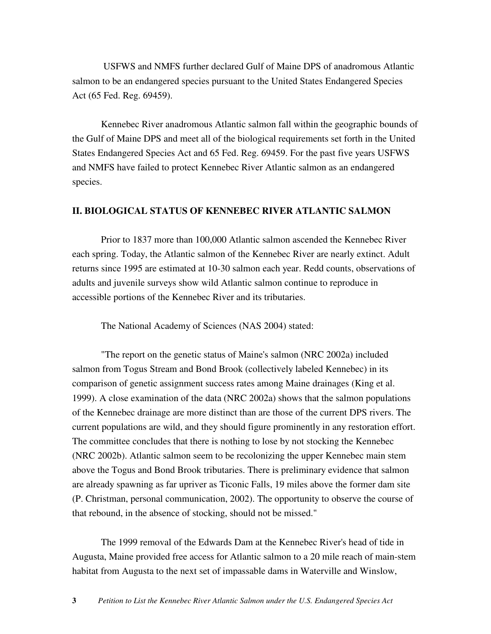USFWS and NMFS further declared Gulf of Maine DPS of anadromous Atlantic salmon to be an endangered species pursuant to the United States Endangered Species Act (65 Fed. Reg. 69459).

Kennebec River anadromous Atlantic salmon fall within the geographic bounds of the Gulf of Maine DPS and meet all of the biological requirements set forth in the United States Endangered Species Act and 65 Fed. Reg. 69459. For the past five years USFWS and NMFS have failed to protect Kennebec River Atlantic salmon as an endangered species.

#### **II. BIOLOGICAL STATUS OF KENNEBEC RIVER ATLANTIC SALMON**

Prior to 1837 more than 100,000 Atlantic salmon ascended the Kennebec River each spring. Today, the Atlantic salmon of the Kennebec River are nearly extinct. Adult returns since 1995 are estimated at 10-30 salmon each year. Redd counts, observations of adults and juvenile surveys show wild Atlantic salmon continue to reproduce in accessible portions of the Kennebec River and its tributaries.

The National Academy of Sciences (NAS 2004) stated:

"The report on the genetic status of Maine's salmon (NRC 2002a) included salmon from Togus Stream and Bond Brook (collectively labeled Kennebec) in its comparison of genetic assignment success rates among Maine drainages (King et al. 1999). A close examination of the data (NRC 2002a) shows that the salmon populations of the Kennebec drainage are more distinct than are those of the current DPS rivers. The current populations are wild, and they should figure prominently in any restoration effort. The committee concludes that there is nothing to lose by not stocking the Kennebec (NRC 2002b). Atlantic salmon seem to be recolonizing the upper Kennebec main stem above the Togus and Bond Brook tributaries. There is preliminary evidence that salmon are already spawning as far upriver as Ticonic Falls, 19 miles above the former dam site (P. Christman, personal communication, 2002). The opportunity to observe the course of that rebound, in the absence of stocking, should not be missed."

The 1999 removal of the Edwards Dam at the Kennebec River's head of tide in Augusta, Maine provided free access for Atlantic salmon to a 20 mile reach of main-stem habitat from Augusta to the next set of impassable dams in Waterville and Winslow,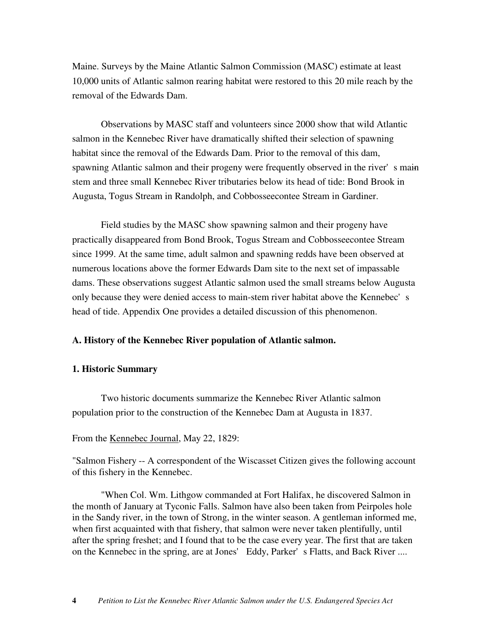Maine. Surveys by the Maine Atlantic Salmon Commission (MASC) estimate at least 10,000 units of Atlantic salmon rearing habitat were restored to this 20 mile reach by the removal of the Edwards Dam.

Observations by MASC staff and volunteers since 2000 show that wild Atlantic salmon in the Kennebec River have dramatically shifted their selection of spawning habitat since the removal of the Edwards Dam. Prior to the removal of this dam, spawning Atlantic salmon and their progeny were frequently observed in the river's main stem and three small Kennebec River tributaries below its head of tide: Bond Brook in Augusta, Togus Stream in Randolph, and Cobbosseecontee Stream in Gardiner.

Field studies by the MASC show spawning salmon and their progeny have practically disappeared from Bond Brook, Togus Stream and Cobbosseecontee Stream since 1999. At the same time, adult salmon and spawning redds have been observed at numerous locations above the former Edwards Dam site to the next set of impassable dams. These observations suggest Atlantic salmon used the small streams below Augusta only because they were denied access to main-stem river habitat above the Kennebec's head of tide. Appendix One provides a detailed discussion of this phenomenon.

### **A. History of the Kennebec River population of Atlantic salmon.**

#### **1. Historic Summary**

Two historic documents summarize the Kennebec River Atlantic salmon population prior to the construction of the Kennebec Dam at Augusta in 1837.

#### From the Kennebec Journal, May 22, 1829:

"Salmon Fishery -- A correspondent of the Wiscasset Citizen gives the following account of this fishery in the Kennebec.

"When Col. Wm. Lithgow commanded at Fort Halifax, he discovered Salmon in the month of January at Tyconic Falls. Salmon have also been taken from Peirpoles hole in the Sandy river, in the town of Strong, in the winter season. A gentleman informed me, when first acquainted with that fishery, that salmon were never taken plentifully, until after the spring freshet; and I found that to be the case every year. The first that are taken on the Kennebec in the spring, are at Jones' Eddy, Parker's Flatts, and Back River ....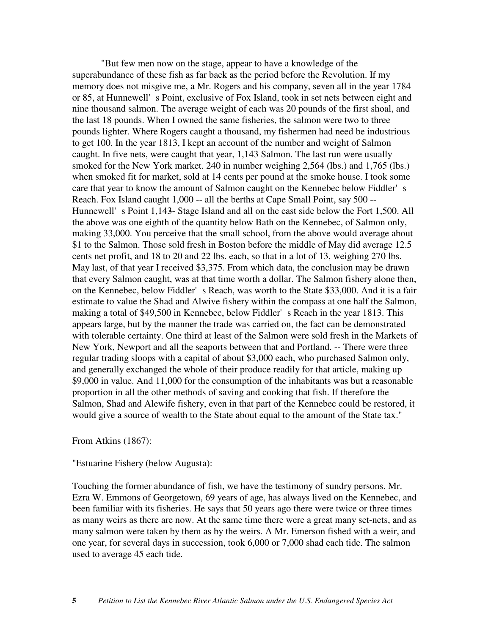"But few men now on the stage, appear to have a knowledge of the superabundance of these fish as far back as the period before the Revolution. If my memory does not misgive me, a Mr. Rogers and his company, seven all in the year 1784 or 85, at Hunnewell's Point, exclusive of Fox Island, took in set nets between eight and nine thousand salmon. The average weight of each was 20 pounds of the first shoal, and the last 18 pounds. When I owned the same fisheries, the salmon were two to three pounds lighter. Where Rogers caught a thousand, my fishermen had need be industrious to get 100. In the year 1813, I kept an account of the number and weight of Salmon caught. In five nets, were caught that year, 1,143 Salmon. The last run were usually smoked for the New York market. 240 in number weighing 2,564 (lbs.) and 1,765 (lbs.) when smoked fit for market, sold at 14 cents per pound at the smoke house. I took some care that year to know the amount of Salmon caught on the Kennebec below Fiddler's Reach. Fox Island caught 1,000 -- all the berths at Cape Small Point, say 500 --Hunnewell's Point 1,143- Stage Island and all on the east side below the Fort 1,500. All the above was one eighth of the quantity below Bath on the Kennebec, of Salmon only, making 33,000. You perceive that the small school, from the above would average about \$1 to the Salmon. Those sold fresh in Boston before the middle of May did average 12.5 cents net profit, and 18 to 20 and 22 lbs. each, so that in a lot of 13, weighing 270 lbs. May last, of that year I received \$3,375. From which data, the conclusion may be drawn that every Salmon caught, was at that time worth a dollar. The Salmon fishery alone then, on the Kennebec, below Fiddler's Reach, was worth to the State \$33,000. And it is a fair estimate to value the Shad and Alwive fishery within the compass at one half the Salmon, making a total of \$49,500 in Kennebec, below Fiddler's Reach in the year 1813. This appears large, but by the manner the trade was carried on, the fact can be demonstrated with tolerable certainty. One third at least of the Salmon were sold fresh in the Markets of New York, Newport and all the seaports between that and Portland. -- There were three regular trading sloops with a capital of about \$3,000 each, who purchased Salmon only, and generally exchanged the whole of their produce readily for that article, making up \$9,000 in value. And 11,000 for the consumption of the inhabitants was but a reasonable proportion in all the other methods of saving and cooking that fish. If therefore the Salmon, Shad and Alewife fishery, even in that part of the Kennebec could be restored, it would give a source of wealth to the State about equal to the amount of the State tax."

#### From Atkins (1867):

#### "Estuarine Fishery (below Augusta):

Touching the former abundance of fish, we have the testimony of sundry persons. Mr. Ezra W. Emmons of Georgetown, 69 years of age, has always lived on the Kennebec, and been familiar with its fisheries. He says that 50 years ago there were twice or three times as many weirs as there are now. At the same time there were a great many set-nets, and as many salmon were taken by them as by the weirs. A Mr. Emerson fished with a weir, and one year, for several days in succession, took 6,000 or 7,000 shad each tide. The salmon used to average 45 each tide.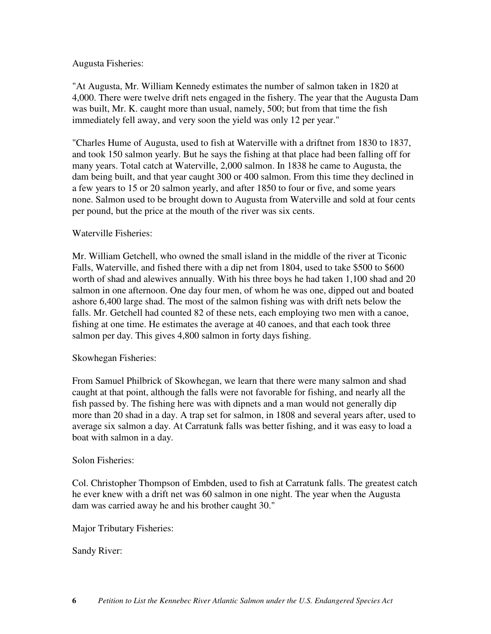### Augusta Fisheries:

"At Augusta, Mr. William Kennedy estimates the number of salmon taken in 1820 at 4,000. There were twelve drift nets engaged in the fishery. The year that the Augusta Dam was built, Mr. K. caught more than usual, namely, 500; but from that time the fish immediately fell away, and very soon the yield was only 12 per year."

"Charles Hume of Augusta, used to fish at Waterville with a driftnet from 1830 to 1837, and took 150 salmon yearly. But he says the fishing at that place had been falling off for many years. Total catch at Waterville, 2,000 salmon. In 1838 he came to Augusta, the dam being built, and that year caught 300 or 400 salmon. From this time they declined in a few years to 15 or 20 salmon yearly, and after 1850 to four or five, and some years none. Salmon used to be brought down to Augusta from Waterville and sold at four cents per pound, but the price at the mouth of the river was six cents.

## Waterville Fisheries:

Mr. William Getchell, who owned the small island in the middle of the river at Ticonic Falls, Waterville, and fished there with a dip net from 1804, used to take \$500 to \$600 worth of shad and alewives annually. With his three boys he had taken 1,100 shad and 20 salmon in one afternoon. One day four men, of whom he was one, dipped out and boated ashore 6,400 large shad. The most of the salmon fishing was with drift nets below the falls. Mr. Getchell had counted 82 of these nets, each employing two men with a canoe, fishing at one time. He estimates the average at 40 canoes, and that each took three salmon per day. This gives 4,800 salmon in forty days fishing.

### Skowhegan Fisheries:

From Samuel Philbrick of Skowhegan, we learn that there were many salmon and shad caught at that point, although the falls were not favorable for fishing, and nearly all the fish passed by. The fishing here was with dipnets and a man would not generally dip more than 20 shad in a day. A trap set for salmon, in 1808 and several years after, used to average six salmon a day. At Carratunk falls was better fishing, and it was easy to load a boat with salmon in a day.

### Solon Fisheries:

Col. Christopher Thompson of Embden, used to fish at Carratunk falls. The greatest catch he ever knew with a drift net was 60 salmon in one night. The year when the Augusta dam was carried away he and his brother caught 30."

Major Tributary Fisheries:

Sandy River: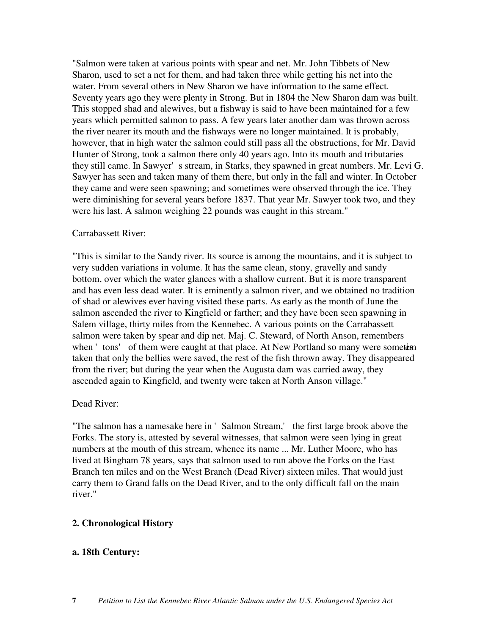"Salmon were taken at various points with spear and net. Mr. John Tibbets of New Sharon, used to set a net for them, and had taken three while getting his net into the water. From several others in New Sharon we have information to the same effect. Seventy years ago they were plenty in Strong. But in 1804 the New Sharon dam was built. This stopped shad and alewives, but a fishway is said to have been maintained for a few years which permitted salmon to pass. A few years later another dam was thrown across the river nearer its mouth and the fishways were no longer maintained. It is probably, however, that in high water the salmon could still pass all the obstructions, for Mr. David Hunter of Strong, took a salmon there only 40 years ago. Into its mouth and tributaries they still came. In Sawyer's stream, in Starks, they spawned in great numbers. Mr. Levi G. Sawyer has seen and taken many of them there, but only in the fall and winter. In October they came and were seen spawning; and sometimes were observed through the ice. They were diminishing for several years before 1837. That year Mr. Sawyer took two, and they were his last. A salmon weighing 22 pounds was caught in this stream."

#### Carrabassett River:

"This is similar to the Sandy river. Its source is among the mountains, and it is subject to very sudden variations in volume. It has the same clean, stony, gravelly and sandy bottom, over which the water glances with a shallow current. But it is more transparent and has even less dead water. It is eminently a salmon river, and we obtained no tradition of shad or alewives ever having visited these parts. As early as the month of June the salmon ascended the river to Kingfield or farther; and they have been seen spawning in Salem village, thirty miles from the Kennebec. A various points on the Carrabassett salmon were taken by spear and dip net. Maj. C. Steward, of North Anson, remembers when 'tons' of them were caught at that place. At New Portland so many were sometiment taken that only the bellies were saved, the rest of the fish thrown away. They disappeared from the river; but during the year when the Augusta dam was carried away, they ascended again to Kingfield, and twenty were taken at North Anson village."

### Dead River:

"The salmon has a namesake here in 'Salmon Stream,' the first large brook above the Forks. The story is, attested by several witnesses, that salmon were seen lying in great numbers at the mouth of this stream, whence its name ... Mr. Luther Moore, who has lived at Bingham 78 years, says that salmon used to run above the Forks on the East Branch ten miles and on the West Branch (Dead River) sixteen miles. That would just carry them to Grand falls on the Dead River, and to the only difficult fall on the main river."

### **2. Chronological History**

### **a. 18th Century:**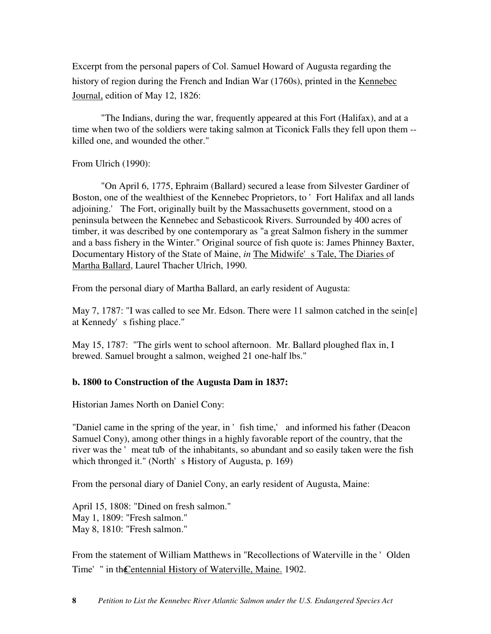Excerpt from the personal papers of Col. Samuel Howard of Augusta regarding the history of region during the French and Indian War (1760s), printed in the Kennebec Journal, edition of May 12, 1826:

"The Indians, during the war, frequently appeared at this Fort (Halifax), and at a time when two of the soldiers were taking salmon at Ticonick Falls they fell upon them - killed one, and wounded the other."

From Ulrich (1990):

"On April 6, 1775, Ephraim (Ballard) secured a lease from Silvester Gardiner of Boston, one of the wealthiest of the Kennebec Proprietors, to 'Fort Halifax and all lands adjoining.' The Fort, originally built by the Massachusetts government, stood on a peninsula between the Kennebec and Sebasticook Rivers. Surrounded by 400 acres of timber, it was described by one contemporary as "a great Salmon fishery in the summer and a bass fishery in the Winter." Original source of fish quote is: James Phinney Baxter, Documentary History of the State of Maine, *in* The Midwife's Tale, The Diaries of Martha Ballard, Laurel Thacher Ulrich, 1990.

From the personal diary of Martha Ballard, an early resident of Augusta:

May 7, 1787: "I was called to see Mr. Edson. There were 11 salmon catched in the sein[e] at Kennedy's fishing place."

May 15, 1787: "The girls went to school afternoon. Mr. Ballard ploughed flax in, I brewed. Samuel brought a salmon, weighed 21 one-half lbs."

# **b. 1800 to Construction of the Augusta Dam in 1837:**

Historian James North on Daniel Cony:

"Daniel came in the spring of the year, in ' fish time,' and informed his father (Deacon Samuel Cony), among other things in a highly favorable report of the country, that the river was the 'meat tub of the inhabitants, so abundant and so easily taken were the fish which thronged it." (North's History of Augusta, p. 169)

From the personal diary of Daniel Cony, an early resident of Augusta, Maine:

April 15, 1808: "Dined on fresh salmon." May 1, 1809: "Fresh salmon." May 8, 1810: "Fresh salmon."

From the statement of William Matthews in "Recollections of Waterville in the 'Olden Time' " in the Centennial History of Waterville, Maine. 1902.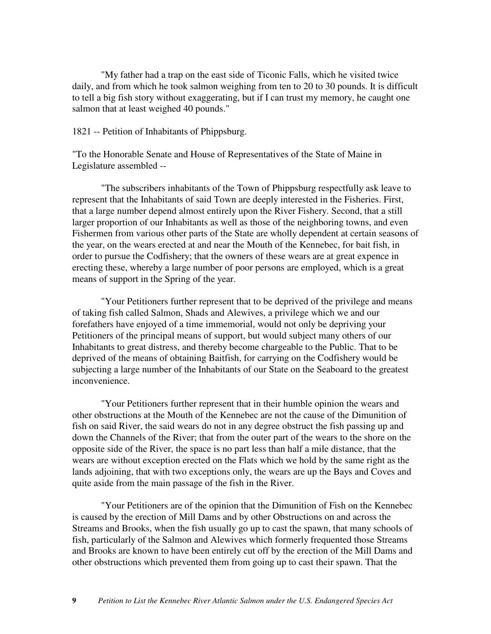"My father had a trap on the east side of Ticonic Falls, which he visited twice daily, and from which he took salmon weighing from ten to 20 to 30 pounds. It is difficult to tell a big fish story without exaggerating, but if I can trust my memory, he caught one salmon that at least weighed 40 pounds."

1821 -- Petition of Inhabitants of Phippsburg.

"To the Honorable Senate and House of Representatives of the State of Maine in Legislature assembled --

"The subscribers inhabitants of the Town of Phippsburg respectfully ask leave to represent that the Inhabitants of said Town are deeply interested in the Fisheries. First, that a large number depend almost entirely upon the River Fishery. Second, that a still larger proportion of our Inhabitants as well as those of the neighboring towns, and even Fishermen from various other parts of the State are wholly dependent at certain seasons of the year, on the wears erected at and near the Mouth of the Kennebec, for bait fish, in order to pursue the Codfishery; that the owners of these wears are at great expence in erecting these, whereby a large number of poor persons are employed, which is a great means of support in the Spring of the year.

"Your Petitioners further represent that to be deprived of the privilege and means of taking fish called Salmon, Shads and Alewives, a privilege which we and our forefathers have enjoyed of a time immemorial, would not only be depriving your Petitioners of the principal means of support, but would subject many others of our Inhabitants to great distress, and thereby become chargeable to the Public. That to be deprived of the means of obtaining Baitfish, for carrying on the Codfishery would be subjecting a large number of the Inhabitants of our State on the Seaboard to the greatest inconvenience.

"Your Petitioners further represent that in their humble opinion the wears and other obstructions at the Mouth of the Kennebec are not the cause of the Dimunition of fish on said River, the said wears do not in any degree obstruct the fish passing up and down the Channels of the River; that from the outer part of the wears to the shore on the opposite side of the River, the space is no part less than half a mile distance, that the wears are without exception erected on the Flats which we hold by the same right as the lands adjoining, that with two exceptions only, the wears are up the Bays and Coves and quite aside from the main passage of the fish in the River.

"Your Petitioners are of the opinion that the Dimunition of Fish on the Kennebec is caused by the erection of Mill Dams and by other Obstructions on and across the Streams and Brooks, when the fish usually go up to cast the spawn, that many schools of fish, particularly of the Salmon and Alewives which formerly frequented those Streams and Brooks are known to have been entirely cut off by the erection of the Mill Dams and other obstructions which prevented them from going up to cast their spawn. That the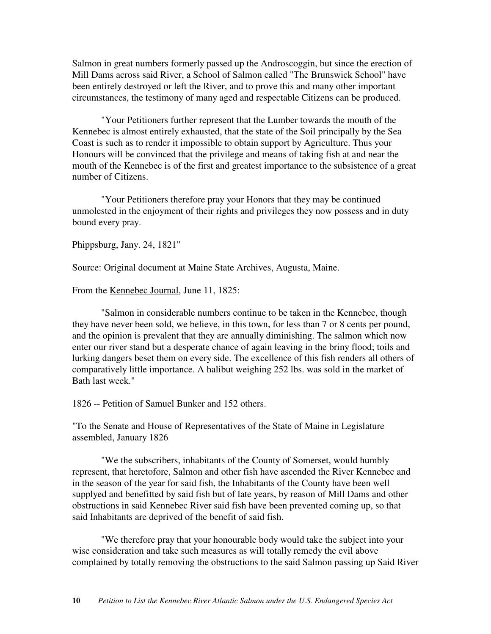Salmon in great numbers formerly passed up the Androscoggin, but since the erection of Mill Dams across said River, a School of Salmon called "The Brunswick School" have been entirely destroyed or left the River, and to prove this and many other important circumstances, the testimony of many aged and respectable Citizens can be produced.

"Your Petitioners further represent that the Lumber towards the mouth of the Kennebec is almost entirely exhausted, that the state of the Soil principally by the Sea Coast is such as to render it impossible to obtain support by Agriculture. Thus your Honours will be convinced that the privilege and means of taking fish at and near the mouth of the Kennebec is of the first and greatest importance to the subsistence of a great number of Citizens.

"Your Petitioners therefore pray your Honors that they may be continued unmolested in the enjoyment of their rights and privileges they now possess and in duty bound every pray.

Phippsburg, Jany. 24, 1821"

Source: Original document at Maine State Archives, Augusta, Maine.

From the <u>Kennebec Journal</u>, June 11, 1825:

"Salmon in considerable numbers continue to be taken in the Kennebec, though they have never been sold, we believe, in this town, for less than 7 or 8 cents per pound, and the opinion is prevalent that they are annually diminishing. The salmon which now enter our river stand but a desperate chance of again leaving in the briny flood; toils and lurking dangers beset them on every side. The excellence of this fish renders all others of comparatively little importance. A halibut weighing 252 lbs. was sold in the market of Bath last week."

1826 -- Petition of Samuel Bunker and 152 others.

"To the Senate and House of Representatives of the State of Maine in Legislature assembled, January 1826

"We the subscribers, inhabitants of the County of Somerset, would humbly represent, that heretofore, Salmon and other fish have ascended the River Kennebec and in the season of the year for said fish, the Inhabitants of the County have been well supplyed and benefitted by said fish but of late years, by reason of Mill Dams and other obstructions in said Kennebec River said fish have been prevented coming up, so that said Inhabitants are deprived of the benefit of said fish.

"We therefore pray that your honourable body would take the subject into your wise consideration and take such measures as will totally remedy the evil above complained by totally removing the obstructions to the said Salmon passing up Said River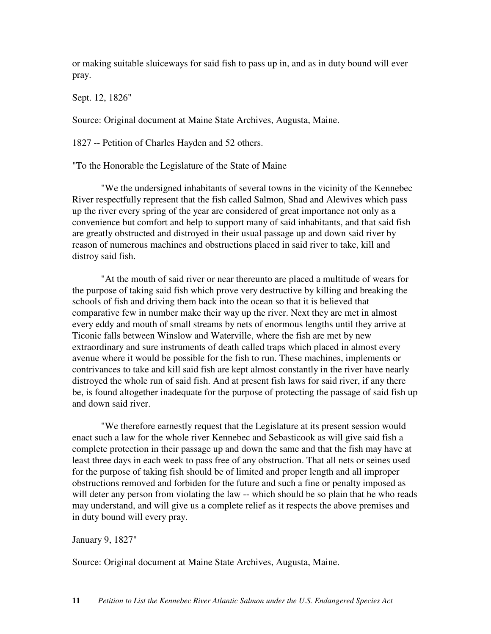or making suitable sluiceways for said fish to pass up in, and as in duty bound will ever pray.

Sept. 12, 1826"

Source: Original document at Maine State Archives, Augusta, Maine.

1827 -- Petition of Charles Hayden and 52 others.

"To the Honorable the Legislature of the State of Maine

"We the undersigned inhabitants of several towns in the vicinity of the Kennebec River respectfully represent that the fish called Salmon, Shad and Alewives which pass up the river every spring of the year are considered of great importance not only as a convenience but comfort and help to support many of said inhabitants, and that said fish are greatly obstructed and distroyed in their usual passage up and down said river by reason of numerous machines and obstructions placed in said river to take, kill and distroy said fish.

"At the mouth of said river or near thereunto are placed a multitude of wears for the purpose of taking said fish which prove very destructive by killing and breaking the schools of fish and driving them back into the ocean so that it is believed that comparative few in number make their way up the river. Next they are met in almost every eddy and mouth of small streams by nets of enormous lengths until they arrive at Ticonic falls between Winslow and Waterville, where the fish are met by new extraordinary and sure instruments of death called traps which placed in almost every avenue where it would be possible for the fish to run. These machines, implements or contrivances to take and kill said fish are kept almost constantly in the river have nearly distroyed the whole run of said fish. And at present fish laws for said river, if any there be, is found altogether inadequate for the purpose of protecting the passage of said fish up and down said river.

"We therefore earnestly request that the Legislature at its present session would enact such a law for the whole river Kennebec and Sebasticook as will give said fish a complete protection in their passage up and down the same and that the fish may have at least three days in each week to pass free of any obstruction. That all nets or seines used for the purpose of taking fish should be of limited and proper length and all improper obstructions removed and forbiden for the future and such a fine or penalty imposed as will deter any person from violating the law -- which should be so plain that he who reads may understand, and will give us a complete relief as it respects the above premises and in duty bound will every pray.

#### January 9, 1827"

Source: Original document at Maine State Archives, Augusta, Maine.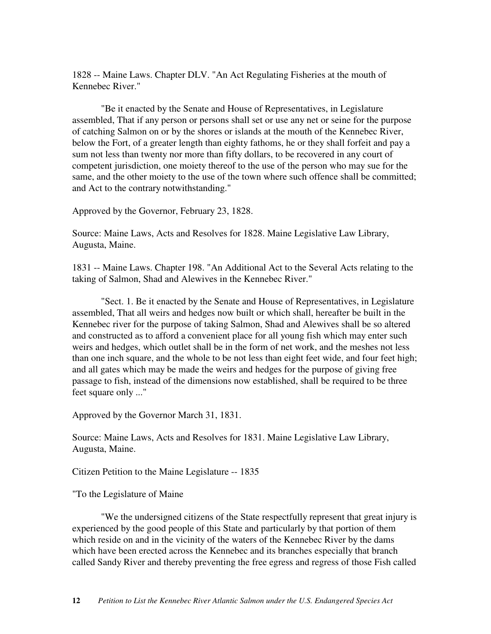1828 -- Maine Laws. Chapter DLV. "An Act Regulating Fisheries at the mouth of Kennebec River."

"Be it enacted by the Senate and House of Representatives, in Legislature assembled, That if any person or persons shall set or use any net or seine for the purpose of catching Salmon on or by the shores or islands at the mouth of the Kennebec River, below the Fort, of a greater length than eighty fathoms, he or they shall forfeit and pay a sum not less than twenty nor more than fifty dollars, to be recovered in any court of competent jurisdiction, one moiety thereof to the use of the person who may sue for the same, and the other moiety to the use of the town where such offence shall be committed; and Act to the contrary notwithstanding."

Approved by the Governor, February 23, 1828.

Source: Maine Laws, Acts and Resolves for 1828. Maine Legislative Law Library, Augusta, Maine.

1831 -- Maine Laws. Chapter 198. "An Additional Act to the Several Acts relating to the taking of Salmon, Shad and Alewives in the Kennebec River."

"Sect. 1. Be it enacted by the Senate and House of Representatives, in Legislature assembled, That all weirs and hedges now built or which shall, hereafter be built in the Kennebec river for the purpose of taking Salmon, Shad and Alewives shall be so altered and constructed as to afford a convenient place for all young fish which may enter such weirs and hedges, which outlet shall be in the form of net work, and the meshes not less than one inch square, and the whole to be not less than eight feet wide, and four feet high; and all gates which may be made the weirs and hedges for the purpose of giving free passage to fish, instead of the dimensions now established, shall be required to be three feet square only ..."

Approved by the Governor March 31, 1831.

Source: Maine Laws, Acts and Resolves for 1831. Maine Legislative Law Library, Augusta, Maine.

Citizen Petition to the Maine Legislature -- 1835

"To the Legislature of Maine

"We the undersigned citizens of the State respectfully represent that great injury is experienced by the good people of this State and particularly by that portion of them which reside on and in the vicinity of the waters of the Kennebec River by the dams which have been erected across the Kennebec and its branches especially that branch called Sandy River and thereby preventing the free egress and regress of those Fish called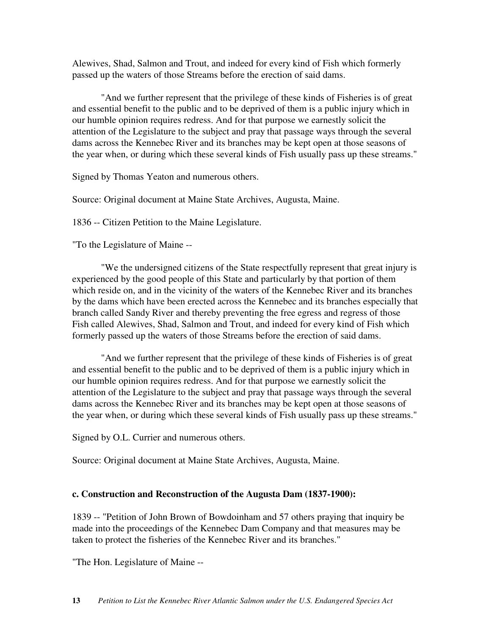Alewives, Shad, Salmon and Trout, and indeed for every kind of Fish which formerly passed up the waters of those Streams before the erection of said dams.

"And we further represent that the privilege of these kinds of Fisheries is of great and essential benefit to the public and to be deprived of them is a public injury which in our humble opinion requires redress. And for that purpose we earnestly solicit the attention of the Legislature to the subject and pray that passage ways through the several dams across the Kennebec River and its branches may be kept open at those seasons of the year when, or during which these several kinds of Fish usually pass up these streams."

Signed by Thomas Yeaton and numerous others.

Source: Original document at Maine State Archives, Augusta, Maine.

1836 -- Citizen Petition to the Maine Legislature.

"To the Legislature of Maine --

"We the undersigned citizens of the State respectfully represent that great injury is experienced by the good people of this State and particularly by that portion of them which reside on, and in the vicinity of the waters of the Kennebec River and its branches by the dams which have been erected across the Kennebec and its branches especially that branch called Sandy River and thereby preventing the free egress and regress of those Fish called Alewives, Shad, Salmon and Trout, and indeed for every kind of Fish which formerly passed up the waters of those Streams before the erection of said dams.

"And we further represent that the privilege of these kinds of Fisheries is of great and essential benefit to the public and to be deprived of them is a public injury which in our humble opinion requires redress. And for that purpose we earnestly solicit the attention of the Legislature to the subject and pray that passage ways through the several dams across the Kennebec River and its branches may be kept open at those seasons of the year when, or during which these several kinds of Fish usually pass up these streams."

Signed by O.L. Currier and numerous others.

Source: Original document at Maine State Archives, Augusta, Maine.

### **c. Construction and Reconstruction of the Augusta Dam (1837-1900):**

1839 -- "Petition of John Brown of Bowdoinham and 57 others praying that inquiry be made into the proceedings of the Kennebec Dam Company and that measures may be taken to protect the fisheries of the Kennebec River and its branches."

"The Hon. Legislature of Maine --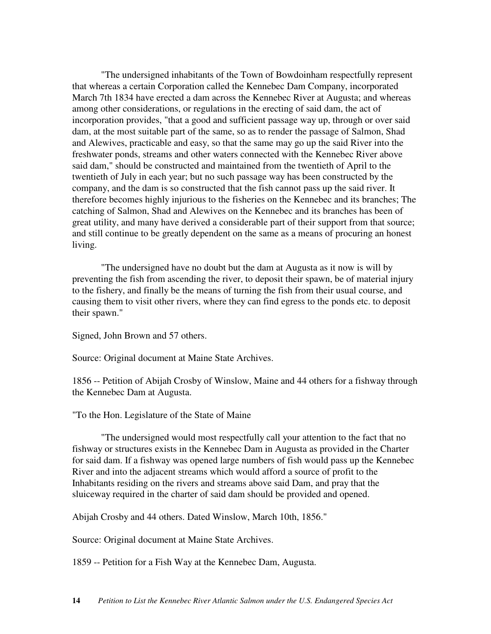"The undersigned inhabitants of the Town of Bowdoinham respectfully represent that whereas a certain Corporation called the Kennebec Dam Company, incorporated March 7th 1834 have erected a dam across the Kennebec River at Augusta; and whereas among other considerations, or regulations in the erecting of said dam, the act of incorporation provides, "that a good and sufficient passage way up, through or over said dam, at the most suitable part of the same, so as to render the passage of Salmon, Shad and Alewives, practicable and easy, so that the same may go up the said River into the freshwater ponds, streams and other waters connected with the Kennebec River above said dam," should be constructed and maintained from the twentieth of April to the twentieth of July in each year; but no such passage way has been constructed by the company, and the dam is so constructed that the fish cannot pass up the said river. It therefore becomes highly injurious to the fisheries on the Kennebec and its branches; The catching of Salmon, Shad and Alewives on the Kennebec and its branches has been of great utility, and many have derived a considerable part of their support from that source; and still continue to be greatly dependent on the same as a means of procuring an honest living.

"The undersigned have no doubt but the dam at Augusta as it now is will by preventing the fish from ascending the river, to deposit their spawn, be of material injury to the fishery, and finally be the means of turning the fish from their usual course, and causing them to visit other rivers, where they can find egress to the ponds etc. to deposit their spawn."

Signed, John Brown and 57 others.

Source: Original document at Maine State Archives.

1856 -- Petition of Abijah Crosby of Winslow, Maine and 44 others for a fishway through the Kennebec Dam at Augusta.

"To the Hon. Legislature of the State of Maine

"The undersigned would most respectfully call your attention to the fact that no fishway or structures exists in the Kennebec Dam in Augusta as provided in the Charter for said dam. If a fishway was opened large numbers of fish would pass up the Kennebec River and into the adjacent streams which would afford a source of profit to the Inhabitants residing on the rivers and streams above said Dam, and pray that the sluiceway required in the charter of said dam should be provided and opened.

Abijah Crosby and 44 others. Dated Winslow, March 10th, 1856."

Source: Original document at Maine State Archives.

1859 -- Petition for a Fish Way at the Kennebec Dam, Augusta.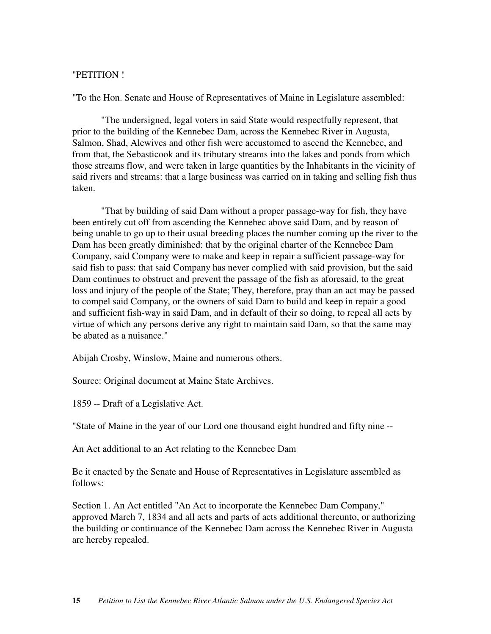# "PETITION !

"To the Hon. Senate and House of Representatives of Maine in Legislature assembled:

"The undersigned, legal voters in said State would respectfully represent, that prior to the building of the Kennebec Dam, across the Kennebec River in Augusta, Salmon, Shad, Alewives and other fish were accustomed to ascend the Kennebec, and from that, the Sebasticook and its tributary streams into the lakes and ponds from which those streams flow, and were taken in large quantities by the Inhabitants in the vicinity of said rivers and streams: that a large business was carried on in taking and selling fish thus taken.

"That by building of said Dam without a proper passage-way for fish, they have been entirely cut off from ascending the Kennebec above said Dam, and by reason of being unable to go up to their usual breeding places the number coming up the river to the Dam has been greatly diminished: that by the original charter of the Kennebec Dam Company, said Company were to make and keep in repair a sufficient passage-way for said fish to pass: that said Company has never complied with said provision, but the said Dam continues to obstruct and prevent the passage of the fish as aforesaid, to the great loss and injury of the people of the State; They, therefore, pray than an act may be passed to compel said Company, or the owners of said Dam to build and keep in repair a good and sufficient fish-way in said Dam, and in default of their so doing, to repeal all acts by virtue of which any persons derive any right to maintain said Dam, so that the same may be abated as a nuisance."

Abijah Crosby, Winslow, Maine and numerous others.

Source: Original document at Maine State Archives.

1859 -- Draft of a Legislative Act.

"State of Maine in the year of our Lord one thousand eight hundred and fifty nine --

An Act additional to an Act relating to the Kennebec Dam

Be it enacted by the Senate and House of Representatives in Legislature assembled as follows:

Section 1. An Act entitled "An Act to incorporate the Kennebec Dam Company," approved March 7, 1834 and all acts and parts of acts additional thereunto, or authorizing the building or continuance of the Kennebec Dam across the Kennebec River in Augusta are hereby repealed.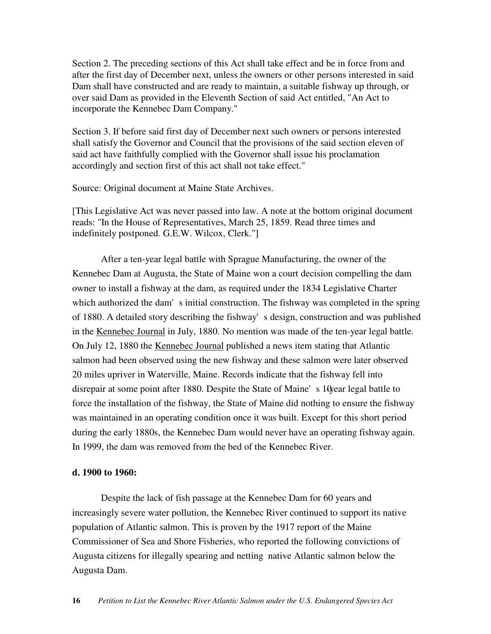Section 2. The preceding sections of this Act shall take effect and be in force from and after the first day of December next, unless the owners or other persons interested in said Dam shall have constructed and are ready to maintain, a suitable fishway up through, or over said Dam as provided in the Eleventh Section of said Act entitled, "An Act to incorporate the Kennebec Dam Company."

Section 3. If before said first day of December next such owners or persons interested shall satisfy the Governor and Council that the provisions of the said section eleven of said act have faithfully complied with the Governor shall issue his proclamation accordingly and section first of this act shall not take effect."

Source: Original document at Maine State Archives.

[This Legislative Act was never passed into law. A note at the bottom original document reads: "In the House of Representatives, March 25, 1859. Read three times and indefinitely postponed. G.E.W. Wilcox, Clerk."]

After a ten-year legal battle with Sprague Manufacturing, the owner of the Kennebec Dam at Augusta, the State of Maine won a court decision compelling the dam owner to install a fishway at the dam, as required under the 1834 Legislative Charter which authorized the dam's initial construction. The fishway was completed in the spring of 1880. A detailed story describing the fishway's design, construction and was published in the Kennebec Journal in July, 1880. No mention was made of the ten-year legal battle. On July 12, 1880 the Kennebec Journal published a news item stating that Atlantic salmon had been observed using the new fishway and these salmon were later observed 20 miles upriver in Waterville, Maine. Records indicate that the fishway fell into disrepair at some point after 1880. Despite the State of Maine's 10year legal battle to force the installation of the fishway, the State of Maine did nothing to ensure the fishway was maintained in an operating condition once it was built. Except for this short period during the early 1880s, the Kennebec Dam would never have an operating fishway again. In 1999, the dam was removed from the bed of the Kennebec River.

#### **d. 1900 to 1960:**

Despite the lack of fish passage at the Kennebec Dam for 60 years and increasingly severe water pollution, the Kennebec River continued to support its native population of Atlantic salmon. This is proven by the 1917 report of the Maine Commissioner of Sea and Shore Fisheries, who reported the following convictions of Augusta citizens for illegally spearing and netting native Atlantic salmon below the Augusta Dam.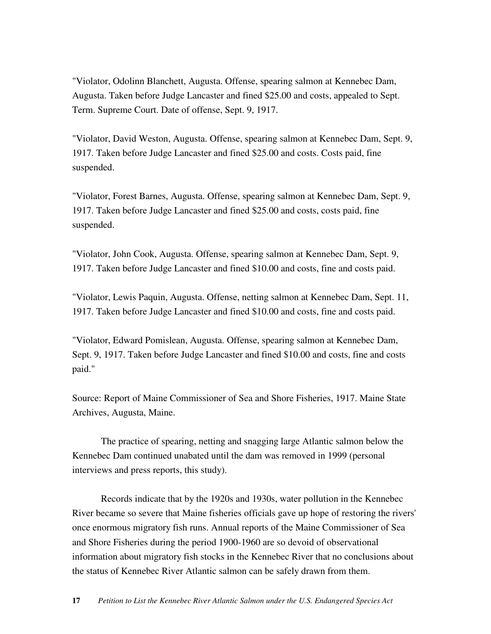"Violator, Odolinn Blanchett, Augusta. Offense, spearing salmon at Kennebec Dam, Augusta. Taken before Judge Lancaster and fined \$25.00 and costs, appealed to Sept. Term. Supreme Court. Date of offense, Sept. 9, 1917.

"Violator, David Weston, Augusta. Offense, spearing salmon at Kennebec Dam, Sept. 9, 1917. Taken before Judge Lancaster and fined \$25.00 and costs. Costs paid, fine suspended.

"Violator, Forest Barnes, Augusta. Offense, spearing salmon at Kennebec Dam, Sept. 9, 1917. Taken before Judge Lancaster and fined \$25.00 and costs, costs paid, fine suspended.

"Violator, John Cook, Augusta. Offense, spearing salmon at Kennebec Dam, Sept. 9, 1917. Taken before Judge Lancaster and fined \$10.00 and costs, fine and costs paid.

"Violator, Lewis Paquin, Augusta. Offense, netting salmon at Kennebec Dam, Sept. 11, 1917. Taken before Judge Lancaster and fined \$10.00 and costs, fine and costs paid.

"Violator, Edward Pomislean, Augusta. Offense, spearing salmon at Kennebec Dam, Sept. 9, 1917. Taken before Judge Lancaster and fined \$10.00 and costs, fine and costs paid."

Source: Report of Maine Commissioner of Sea and Shore Fisheries, 1917. Maine State Archives, Augusta, Maine.

The practice of spearing, netting and snagging large Atlantic salmon below the Kennebec Dam continued unabated until the dam was removed in 1999 (personal interviews and press reports, this study).

Records indicate that by the 1920s and 1930s, water pollution in the Kennebec River became so severe that Maine fisheries officials gave up hope of restoring the rivers' once enormous migratory fish runs. Annual reports of the Maine Commissioner of Sea and Shore Fisheries during the period 1900-1960 are so devoid of observational information about migratory fish stocks in the Kennebec River that no conclusions about the status of Kennebec River Atlantic salmon can be safely drawn from them.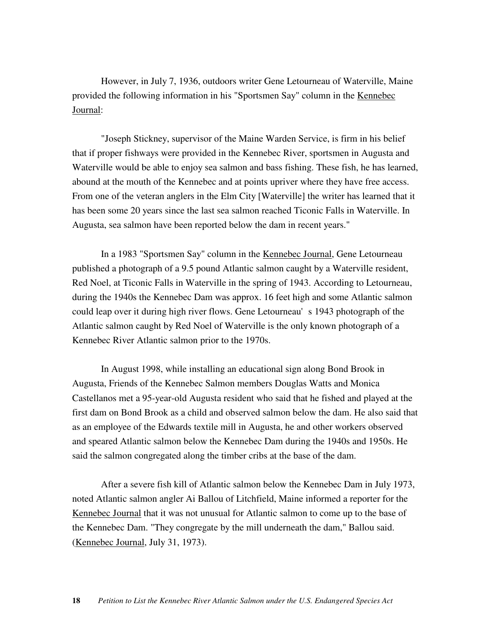However, in July 7, 1936, outdoors writer Gene Letourneau of Waterville, Maine provided the following information in his "Sportsmen Say" column in the Kennebec Journal:

"Joseph Stickney, supervisor of the Maine Warden Service, is firm in his belief that if proper fishways were provided in the Kennebec River, sportsmen in Augusta and Waterville would be able to enjoy sea salmon and bass fishing. These fish, he has learned, abound at the mouth of the Kennebec and at points upriver where they have free access. From one of the veteran anglers in the Elm City [Waterville] the writer has learned that it has been some 20 years since the last sea salmon reached Ticonic Falls in Waterville. In Augusta, sea salmon have been reported below the dam in recent years."

In a 1983 "Sportsmen Say" column in the Kennebec Journal, Gene Letourneau published a photograph of a 9.5 pound Atlantic salmon caught by a Waterville resident, Red Noel, at Ticonic Falls in Waterville in the spring of 1943. According to Letourneau, during the 1940s the Kennebec Dam was approx. 16 feet high and some Atlantic salmon could leap over it during high river flows. Gene Letourneau's 1943 photograph of the Atlantic salmon caught by Red Noel of Waterville is the only known photograph of a Kennebec River Atlantic salmon prior to the 1970s.

In August 1998, while installing an educational sign along Bond Brook in Augusta, Friends of the Kennebec Salmon members Douglas Watts and Monica Castellanos met a 95-year-old Augusta resident who said that he fished and played at the first dam on Bond Brook as a child and observed salmon below the dam. He also said that as an employee of the Edwards textile mill in Augusta, he and other workers observed and speared Atlantic salmon below the Kennebec Dam during the 1940s and 1950s. He said the salmon congregated along the timber cribs at the base of the dam.

After a severe fish kill of Atlantic salmon below the Kennebec Dam in July 1973, noted Atlantic salmon angler Ai Ballou of Litchfield, Maine informed a reporter for the Kennebec Journal that it was not unusual for Atlantic salmon to come up to the base of the Kennebec Dam. "They congregate by the mill underneath the dam," Ballou said. (Kennebec Journal, July 31, 1973).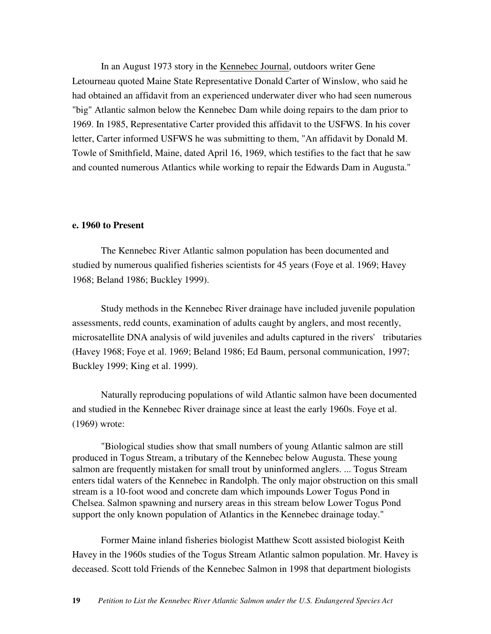In an August 1973 story in the Kennebec Journal, outdoors writer Gene Letourneau quoted Maine State Representative Donald Carter of Winslow, who said he had obtained an affidavit from an experienced underwater diver who had seen numerous "big" Atlantic salmon below the Kennebec Dam while doing repairs to the dam prior to 1969. In 1985, Representative Carter provided this affidavit to the USFWS. In his cover letter, Carter informed USFWS he was submitting to them, "An affidavit by Donald M. Towle of Smithfield, Maine, dated April 16, 1969, which testifies to the fact that he saw and counted numerous Atlantics while working to repair the Edwards Dam in Augusta."

### **e. 1960 to Present**

The Kennebec River Atlantic salmon population has been documented and studied by numerous qualified fisheries scientists for 45 years (Foye et al. 1969; Havey 1968; Beland 1986; Buckley 1999).

Study methods in the Kennebec River drainage have included juvenile population assessments, redd counts, examination of adults caught by anglers, and most recently, microsatellite DNA analysis of wild juveniles and adults captured in the rivers' tributaries (Havey 1968; Foye et al. 1969; Beland 1986; Ed Baum, personal communication, 1997; Buckley 1999; King et al. 1999).

Naturally reproducing populations of wild Atlantic salmon have been documented and studied in the Kennebec River drainage since at least the early 1960s. Foye et al. (1969) wrote:

"Biological studies show that small numbers of young Atlantic salmon are still produced in Togus Stream, a tributary of the Kennebec below Augusta. These young salmon are frequently mistaken for small trout by uninformed anglers. ... Togus Stream enters tidal waters of the Kennebec in Randolph. The only major obstruction on this small stream is a 10-foot wood and concrete dam which impounds Lower Togus Pond in Chelsea. Salmon spawning and nursery areas in this stream below Lower Togus Pond support the only known population of Atlantics in the Kennebec drainage today."

Former Maine inland fisheries biologist Matthew Scott assisted biologist Keith Havey in the 1960s studies of the Togus Stream Atlantic salmon population. Mr. Havey is deceased. Scott told Friends of the Kennebec Salmon in 1998 that department biologists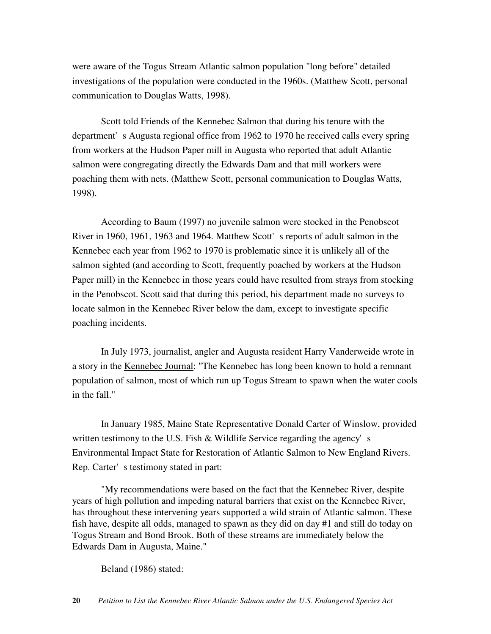were aware of the Togus Stream Atlantic salmon population "long before" detailed investigations of the population were conducted in the 1960s. (Matthew Scott, personal communication to Douglas Watts, 1998).

Scott told Friends of the Kennebec Salmon that during his tenure with the department's Augusta regional office from 1962 to 1970 he received calls every spring from workers at the Hudson Paper mill in Augusta who reported that adult Atlantic salmon were congregating directly the Edwards Dam and that mill workers were poaching them with nets. (Matthew Scott, personal communication to Douglas Watts, 1998).

According to Baum (1997) no juvenile salmon were stocked in the Penobscot River in 1960, 1961, 1963 and 1964. Matthew Scott's reports of adult salmon in the Kennebec each year from 1962 to 1970 is problematic since it is unlikely all of the salmon sighted (and according to Scott, frequently poached by workers at the Hudson Paper mill) in the Kennebec in those years could have resulted from strays from stocking in the Penobscot. Scott said that during this period, his department made no surveys to locate salmon in the Kennebec River below the dam, except to investigate specific poaching incidents.

In July 1973, journalist, angler and Augusta resident Harry Vanderweide wrote in a story in the Kennebec Journal: "The Kennebec has long been known to hold a remnant population of salmon, most of which run up Togus Stream to spawn when the water cools in the fall."

In January 1985, Maine State Representative Donald Carter of Winslow, provided written testimony to the U.S. Fish & Wildlife Service regarding the agency's Environmental Impact State for Restoration of Atlantic Salmon to New England Rivers. Rep. Carter's testimony stated in part:

"My recommendations were based on the fact that the Kennebec River, despite years of high pollution and impeding natural barriers that exist on the Kennebec River, has throughout these intervening years supported a wild strain of Atlantic salmon. These fish have, despite all odds, managed to spawn as they did on day #1 and still do today on Togus Stream and Bond Brook. Both of these streams are immediately below the Edwards Dam in Augusta, Maine."

Beland (1986) stated: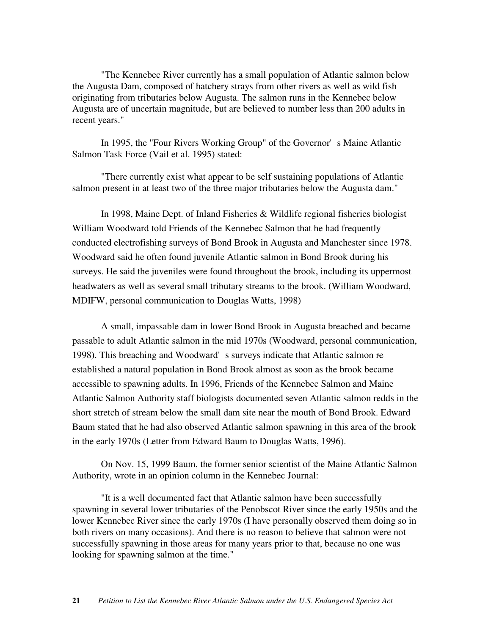"The Kennebec River currently has a small population of Atlantic salmon below the Augusta Dam, composed of hatchery strays from other rivers as well as wild fish originating from tributaries below Augusta. The salmon runs in the Kennebec below Augusta are of uncertain magnitude, but are believed to number less than 200 adults in recent years."

In 1995, the "Four Rivers Working Group" of the Governor's Maine Atlantic Salmon Task Force (Vail et al. 1995) stated:

"There currently exist what appear to be self sustaining populations of Atlantic salmon present in at least two of the three major tributaries below the Augusta dam."

In 1998, Maine Dept. of Inland Fisheries & Wildlife regional fisheries biologist William Woodward told Friends of the Kennebec Salmon that he had frequently conducted electrofishing surveys of Bond Brook in Augusta and Manchester since 1978. Woodward said he often found juvenile Atlantic salmon in Bond Brook during his surveys. He said the juveniles were found throughout the brook, including its uppermost headwaters as well as several small tributary streams to the brook. (William Woodward, MDIFW, personal communication to Douglas Watts, 1998)

A small, impassable dam in lower Bond Brook in Augusta breached and became passable to adult Atlantic salmon in the mid 1970s (Woodward, personal communication, 1998). This breaching and Woodward's surveys indicate that Atlantic salmon reestablished a natural population in Bond Brook almost as soon as the brook became accessible to spawning adults. In 1996, Friends of the Kennebec Salmon and Maine Atlantic Salmon Authority staff biologists documented seven Atlantic salmon redds in the short stretch of stream below the small dam site near the mouth of Bond Brook. Edward Baum stated that he had also observed Atlantic salmon spawning in this area of the brook in the early 1970s (Letter from Edward Baum to Douglas Watts, 1996).

On Nov. 15, 1999 Baum, the former senior scientist of the Maine Atlantic Salmon Authority, wrote in an opinion column in the Kennebec Journal:

"It is a well documented fact that Atlantic salmon have been successfully spawning in several lower tributaries of the Penobscot River since the early 1950s and the lower Kennebec River since the early 1970s (I have personally observed them doing so in both rivers on many occasions). And there is no reason to believe that salmon were not successfully spawning in those areas for many years prior to that, because no one was looking for spawning salmon at the time."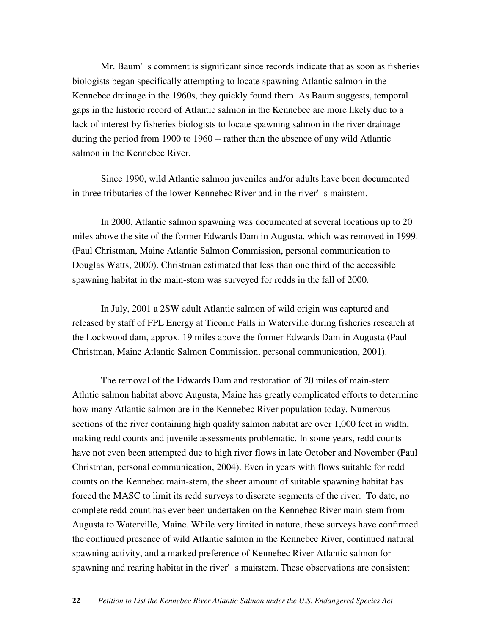Mr. Baum's comment is significant since records indicate that as soon as fisheries biologists began specifically attempting to locate spawning Atlantic salmon in the Kennebec drainage in the 1960s, they quickly found them. As Baum suggests, temporal gaps in the historic record of Atlantic salmon in the Kennebec are more likely due to a lack of interest by fisheries biologists to locate spawning salmon in the river drainage during the period from 1900 to 1960 -- rather than the absence of any wild Atlantic salmon in the Kennebec River.

Since 1990, wild Atlantic salmon juveniles and/or adults have been documented in three tributaries of the lower Kennebec River and in the river's mainstem.

In 2000, Atlantic salmon spawning was documented at several locations up to 20 miles above the site of the former Edwards Dam in Augusta, which was removed in 1999. (Paul Christman, Maine Atlantic Salmon Commission, personal communication to Douglas Watts, 2000). Christman estimated that less than one third of the accessible spawning habitat in the main-stem was surveyed for redds in the fall of 2000.

In July, 2001 a 2SW adult Atlantic salmon of wild origin was captured and released by staff of FPL Energy at Ticonic Falls in Waterville during fisheries research at the Lockwood dam, approx. 19 miles above the former Edwards Dam in Augusta (Paul Christman, Maine Atlantic Salmon Commission, personal communication, 2001).

The removal of the Edwards Dam and restoration of 20 miles of main-stem Atlntic salmon habitat above Augusta, Maine has greatly complicated efforts to determine how many Atlantic salmon are in the Kennebec River population today. Numerous sections of the river containing high quality salmon habitat are over 1,000 feet in width, making redd counts and juvenile assessments problematic. In some years, redd counts have not even been attempted due to high river flows in late October and November (Paul Christman, personal communication, 2004). Even in years with flows suitable for redd counts on the Kennebec main-stem, the sheer amount of suitable spawning habitat has forced the MASC to limit its redd surveys to discrete segments of the river. To date, no complete redd count has ever been undertaken on the Kennebec River main-stem from Augusta to Waterville, Maine. While very limited in nature, these surveys have confirmed the continued presence of wild Atlantic salmon in the Kennebec River, continued natural spawning activity, and a marked preference of Kennebec River Atlantic salmon for spawning and rearing habitat in the river's mainstem. These observations are consistent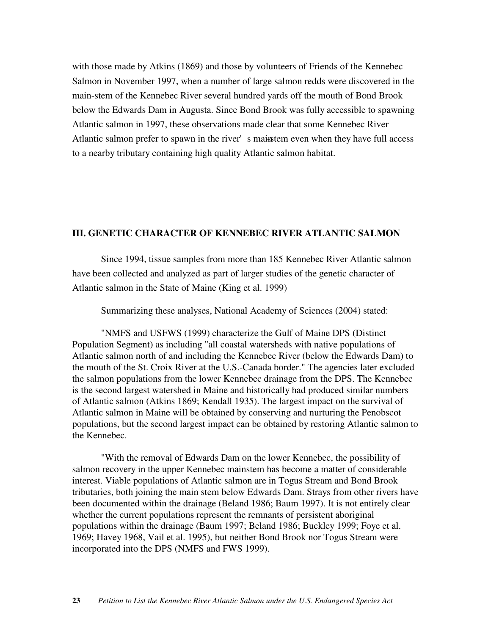with those made by Atkins (1869) and those by volunteers of Friends of the Kennebec Salmon in November 1997, when a number of large salmon redds were discovered in the main-stem of the Kennebec River several hundred yards off the mouth of Bond Brook below the Edwards Dam in Augusta. Since Bond Brook was fully accessible to spawning Atlantic salmon in 1997, these observations made clear that some Kennebec River Atlantic salmon prefer to spawn in the river's mainstem even when they have full access to a nearby tributary containing high quality Atlantic salmon habitat.

### **III. GENETIC CHARACTER OF KENNEBEC RIVER ATLANTIC SALMON**

Since 1994, tissue samples from more than 185 Kennebec River Atlantic salmon have been collected and analyzed as part of larger studies of the genetic character of Atlantic salmon in the State of Maine (King et al. 1999)

Summarizing these analyses, National Academy of Sciences (2004) stated:

"NMFS and USFWS (1999) characterize the Gulf of Maine DPS (Distinct Population Segment) as including "all coastal watersheds with native populations of Atlantic salmon north of and including the Kennebec River (below the Edwards Dam) to the mouth of the St. Croix River at the U.S.-Canada border." The agencies later excluded the salmon populations from the lower Kennebec drainage from the DPS. The Kennebec is the second largest watershed in Maine and historically had produced similar numbers of Atlantic salmon (Atkins 1869; Kendall 1935). The largest impact on the survival of Atlantic salmon in Maine will be obtained by conserving and nurturing the Penobscot populations, but the second largest impact can be obtained by restoring Atlantic salmon to the Kennebec.

"With the removal of Edwards Dam on the lower Kennebec, the possibility of salmon recovery in the upper Kennebec mainstem has become a matter of considerable interest. Viable populations of Atlantic salmon are in Togus Stream and Bond Brook tributaries, both joining the main stem below Edwards Dam. Strays from other rivers have been documented within the drainage (Beland 1986; Baum 1997). It is not entirely clear whether the current populations represent the remnants of persistent aboriginal populations within the drainage (Baum 1997; Beland 1986; Buckley 1999; Foye et al. 1969; Havey 1968, Vail et al. 1995), but neither Bond Brook nor Togus Stream were incorporated into the DPS (NMFS and FWS 1999).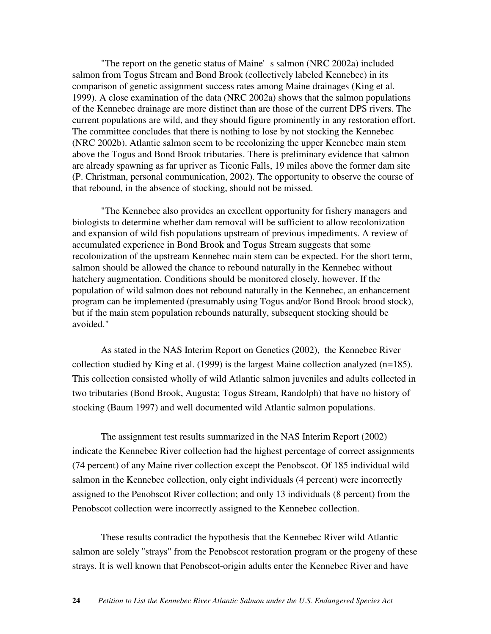"The report on the genetic status of Maine's salmon (NRC 2002a) included salmon from Togus Stream and Bond Brook (collectively labeled Kennebec) in its comparison of genetic assignment success rates among Maine drainages (King et al. 1999). A close examination of the data (NRC 2002a) shows that the salmon populations of the Kennebec drainage are more distinct than are those of the current DPS rivers. The current populations are wild, and they should figure prominently in any restoration effort. The committee concludes that there is nothing to lose by not stocking the Kennebec (NRC 2002b). Atlantic salmon seem to be recolonizing the upper Kennebec main stem above the Togus and Bond Brook tributaries. There is preliminary evidence that salmon are already spawning as far upriver as Ticonic Falls, 19 miles above the former dam site (P. Christman, personal communication, 2002). The opportunity to observe the course of that rebound, in the absence of stocking, should not be missed.

"The Kennebec also provides an excellent opportunity for fishery managers and biologists to determine whether dam removal will be sufficient to allow recolonization and expansion of wild fish populations upstream of previous impediments. A review of accumulated experience in Bond Brook and Togus Stream suggests that some recolonization of the upstream Kennebec main stem can be expected. For the short term, salmon should be allowed the chance to rebound naturally in the Kennebec without hatchery augmentation. Conditions should be monitored closely, however. If the population of wild salmon does not rebound naturally in the Kennebec, an enhancement program can be implemented (presumably using Togus and/or Bond Brook brood stock), but if the main stem population rebounds naturally, subsequent stocking should be avoided."

As stated in the NAS Interim Report on Genetics (2002), the Kennebec River collection studied by King et al. (1999) is the largest Maine collection analyzed (n=185). This collection consisted wholly of wild Atlantic salmon juveniles and adults collected in two tributaries (Bond Brook, Augusta; Togus Stream, Randolph) that have no history of stocking (Baum 1997) and well documented wild Atlantic salmon populations.

The assignment test results summarized in the NAS Interim Report (2002) indicate the Kennebec River collection had the highest percentage of correct assignments (74 percent) of any Maine river collection except the Penobscot. Of 185 individual wild salmon in the Kennebec collection, only eight individuals (4 percent) were incorrectly assigned to the Penobscot River collection; and only 13 individuals (8 percent) from the Penobscot collection were incorrectly assigned to the Kennebec collection.

These results contradict the hypothesis that the Kennebec River wild Atlantic salmon are solely "strays" from the Penobscot restoration program or the progeny of these strays. It is well known that Penobscot-origin adults enter the Kennebec River and have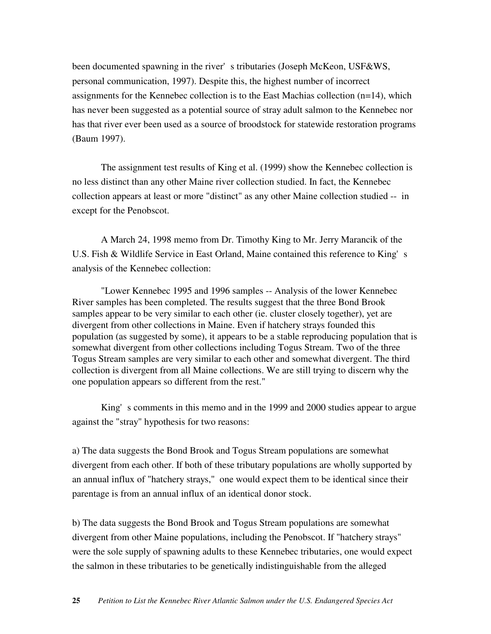been documented spawning in the river's tributaries (Joseph McKeon, USF&WS, personal communication, 1997). Despite this, the highest number of incorrect assignments for the Kennebec collection is to the East Machias collection (n=14), which has never been suggested as a potential source of stray adult salmon to the Kennebec nor has that river ever been used as a source of broodstock for statewide restoration programs (Baum 1997).

The assignment test results of King et al. (1999) show the Kennebec collection is no less distinct than any other Maine river collection studied. In fact, the Kennebec collection appears at least or more "distinct" as any other Maine collection studied -- in except for the Penobscot.

A March 24, 1998 memo from Dr. Timothy King to Mr. Jerry Marancik of the U.S. Fish & Wildlife Service in East Orland, Maine contained this reference to King's analysis of the Kennebec collection:

"Lower Kennebec 1995 and 1996 samples -- Analysis of the lower Kennebec River samples has been completed. The results suggest that the three Bond Brook samples appear to be very similar to each other (ie. cluster closely together), yet are divergent from other collections in Maine. Even if hatchery strays founded this population (as suggested by some), it appears to be a stable reproducing population that is somewhat divergent from other collections including Togus Stream. Two of the three Togus Stream samples are very similar to each other and somewhat divergent. The third collection is divergent from all Maine collections. We are still trying to discern why the one population appears so different from the rest."

King's comments in this memo and in the 1999 and 2000 studies appear to argue against the "stray" hypothesis for two reasons:

a) The data suggests the Bond Brook and Togus Stream populations are somewhat divergent from each other. If both of these tributary populations are wholly supported by an annual influx of "hatchery strays," one would expect them to be identical since their parentage is from an annual influx of an identical donor stock.

b) The data suggests the Bond Brook and Togus Stream populations are somewhat divergent from other Maine populations, including the Penobscot. If "hatchery strays" were the sole supply of spawning adults to these Kennebec tributaries, one would expect the salmon in these tributaries to be genetically indistinguishable from the alleged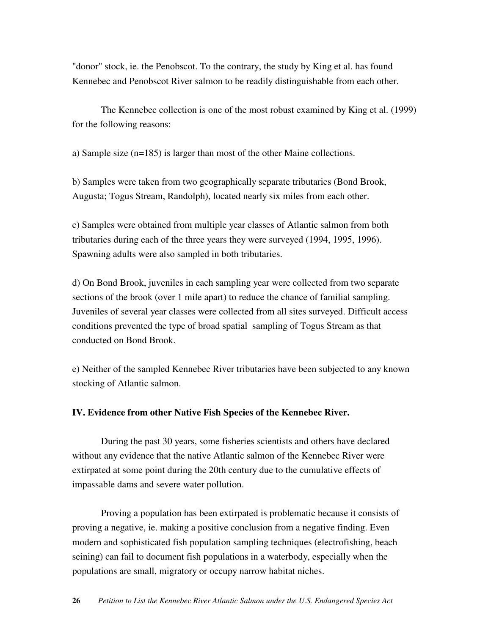"donor" stock, ie. the Penobscot. To the contrary, the study by King et al. has found Kennebec and Penobscot River salmon to be readily distinguishable from each other.

The Kennebec collection is one of the most robust examined by King et al. (1999) for the following reasons:

a) Sample size (n=185) is larger than most of the other Maine collections.

b) Samples were taken from two geographically separate tributaries (Bond Brook, Augusta; Togus Stream, Randolph), located nearly six miles from each other.

c) Samples were obtained from multiple year classes of Atlantic salmon from both tributaries during each of the three years they were surveyed (1994, 1995, 1996). Spawning adults were also sampled in both tributaries.

d) On Bond Brook, juveniles in each sampling year were collected from two separate sections of the brook (over 1 mile apart) to reduce the chance of familial sampling. Juveniles of several year classes were collected from all sites surveyed. Difficult access conditions prevented the type of broad spatial sampling of Togus Stream as that conducted on Bond Brook.

e) Neither of the sampled Kennebec River tributaries have been subjected to any known stocking of Atlantic salmon.

#### **IV. Evidence from other Native Fish Species of the Kennebec River.**

During the past 30 years, some fisheries scientists and others have declared without any evidence that the native Atlantic salmon of the Kennebec River were extirpated at some point during the 20th century due to the cumulative effects of impassable dams and severe water pollution.

Proving a population has been extirpated is problematic because it consists of proving a negative, ie. making a positive conclusion from a negative finding. Even modern and sophisticated fish population sampling techniques (electrofishing, beach seining) can fail to document fish populations in a waterbody, especially when the populations are small, migratory or occupy narrow habitat niches.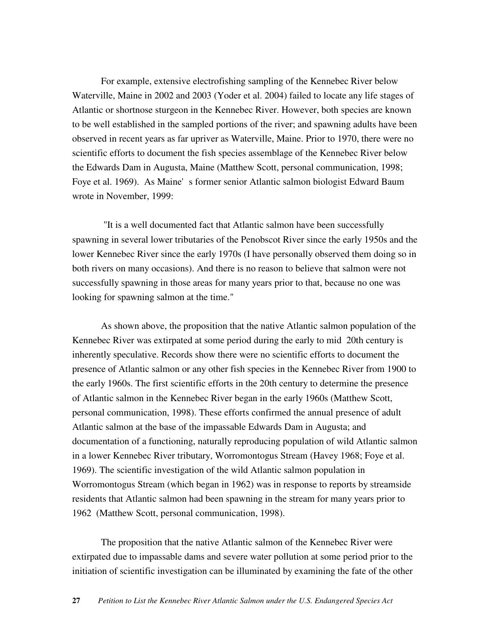For example, extensive electrofishing sampling of the Kennebec River below Waterville, Maine in 2002 and 2003 (Yoder et al. 2004) failed to locate any life stages of Atlantic or shortnose sturgeon in the Kennebec River. However, both species are known to be well established in the sampled portions of the river; and spawning adults have been observed in recent years as far upriver as Waterville, Maine. Prior to 1970, there were no scientific efforts to document the fish species assemblage of the Kennebec River below the Edwards Dam in Augusta, Maine (Matthew Scott, personal communication, 1998; Foye et al. 1969). As Maine's former senior Atlantic salmon biologist Edward Baum wrote in November, 1999:

"It is a well documented fact that Atlantic salmon have been successfully spawning in several lower tributaries of the Penobscot River since the early 1950s and the lower Kennebec River since the early 1970s (I have personally observed them doing so in both rivers on many occasions). And there is no reason to believe that salmon were not successfully spawning in those areas for many years prior to that, because no one was looking for spawning salmon at the time."

As shown above, the proposition that the native Atlantic salmon population of the Kennebec River was extirpated at some period during the early to mid 20th century is inherently speculative. Records show there were no scientific efforts to document the presence of Atlantic salmon or any other fish species in the Kennebec River from 1900 to the early 1960s. The first scientific efforts in the 20th century to determine the presence of Atlantic salmon in the Kennebec River began in the early 1960s (Matthew Scott, personal communication, 1998). These efforts confirmed the annual presence of adult Atlantic salmon at the base of the impassable Edwards Dam in Augusta; and documentation of a functioning, naturally reproducing population of wild Atlantic salmon in a lower Kennebec River tributary, Worromontogus Stream (Havey 1968; Foye et al. 1969). The scientific investigation of the wild Atlantic salmon population in Worromontogus Stream (which began in 1962) was in response to reports by streamside residents that Atlantic salmon had been spawning in the stream for many years prior to 1962 (Matthew Scott, personal communication, 1998).

The proposition that the native Atlantic salmon of the Kennebec River were extirpated due to impassable dams and severe water pollution at some period prior to the initiation of scientific investigation can be illuminated by examining the fate of the other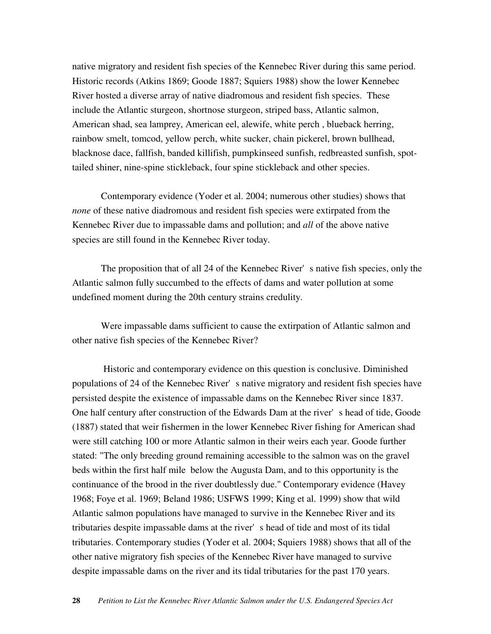native migratory and resident fish species of the Kennebec River during this same period. Historic records (Atkins 1869; Goode 1887; Squiers 1988) show the lower Kennebec River hosted a diverse array of native diadromous and resident fish species. These include the Atlantic sturgeon, shortnose sturgeon, striped bass, Atlantic salmon, American shad, sea lamprey, American eel, alewife, white perch , blueback herring, rainbow smelt, tomcod, yellow perch, white sucker, chain pickerel, brown bullhead, blacknose dace, fallfish, banded killifish, pumpkinseed sunfish, redbreasted sunfish, spottailed shiner, nine-spine stickleback, four spine stickleback and other species.

Contemporary evidence (Yoder et al. 2004; numerous other studies) shows that *none* of these native diadromous and resident fish species were extirpated from the Kennebec River due to impassable dams and pollution; and *all* of the above native species are still found in the Kennebec River today.

The proposition that of all 24 of the Kennebec River's native fish species, only the Atlantic salmon fully succumbed to the effects of dams and water pollution at some undefined moment during the 20th century strains credulity.

Were impassable dams sufficient to cause the extirpation of Atlantic salmon and other native fish species of the Kennebec River?

Historic and contemporary evidence on this question is conclusive. Diminished populations of 24 of the Kennebec River's native migratory and resident fish species have persisted despite the existence of impassable dams on the Kennebec River since 1837. One half century after construction of the Edwards Dam at the river's head of tide, Goode (1887) stated that weir fishermen in the lower Kennebec River fishing for American shad were still catching 100 or more Atlantic salmon in their weirs each year. Goode further stated: "The only breeding ground remaining accessible to the salmon was on the gravel beds within the first half mile below the Augusta Dam, and to this opportunity is the continuance of the brood in the river doubtlessly due." Contemporary evidence (Havey 1968; Foye et al. 1969; Beland 1986; USFWS 1999; King et al. 1999) show that wild Atlantic salmon populations have managed to survive in the Kennebec River and its tributaries despite impassable dams at the river's head of tide and most of its tidal tributaries. Contemporary studies (Yoder et al. 2004; Squiers 1988) shows that all of the other native migratory fish species of the Kennebec River have managed to survive despite impassable dams on the river and its tidal tributaries for the past 170 years.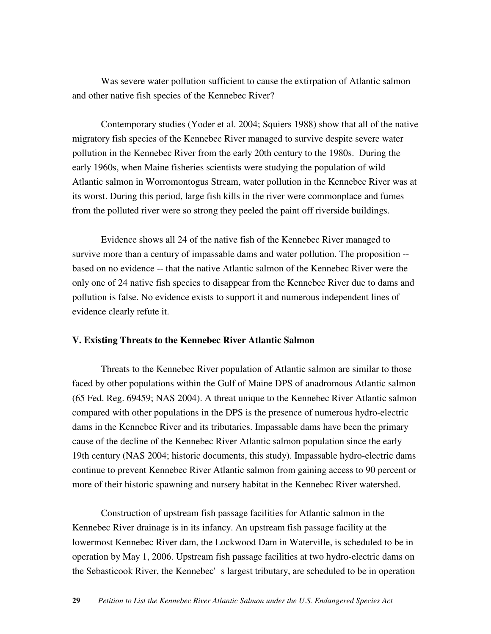Was severe water pollution sufficient to cause the extirpation of Atlantic salmon and other native fish species of the Kennebec River?

Contemporary studies (Yoder et al. 2004; Squiers 1988) show that all of the native migratory fish species of the Kennebec River managed to survive despite severe water pollution in the Kennebec River from the early 20th century to the 1980s. During the early 1960s, when Maine fisheries scientists were studying the population of wild Atlantic salmon in Worromontogus Stream, water pollution in the Kennebec River was at its worst. During this period, large fish kills in the river were commonplace and fumes from the polluted river were so strong they peeled the paint off riverside buildings.

Evidence shows all 24 of the native fish of the Kennebec River managed to survive more than a century of impassable dams and water pollution. The proposition - based on no evidence -- that the native Atlantic salmon of the Kennebec River were the only one of 24 native fish species to disappear from the Kennebec River due to dams and pollution is false. No evidence exists to support it and numerous independent lines of evidence clearly refute it.

### **V. Existing Threats to the Kennebec River Atlantic Salmon**

Threats to the Kennebec River population of Atlantic salmon are similar to those faced by other populations within the Gulf of Maine DPS of anadromous Atlantic salmon (65 Fed. Reg. 69459; NAS 2004). A threat unique to the Kennebec River Atlantic salmon compared with other populations in the DPS is the presence of numerous hydro-electric dams in the Kennebec River and its tributaries. Impassable dams have been the primary cause of the decline of the Kennebec River Atlantic salmon population since the early 19th century (NAS 2004; historic documents, this study). Impassable hydro-electric dams continue to prevent Kennebec River Atlantic salmon from gaining access to 90 percent or more of their historic spawning and nursery habitat in the Kennebec River watershed.

Construction of upstream fish passage facilities for Atlantic salmon in the Kennebec River drainage is in its infancy. An upstream fish passage facility at the lowermost Kennebec River dam, the Lockwood Dam in Waterville, is scheduled to be in operation by May 1, 2006. Upstream fish passage facilities at two hydro-electric dams on the Sebasticook River, the Kennebec's largest tributary, are scheduled to be in operation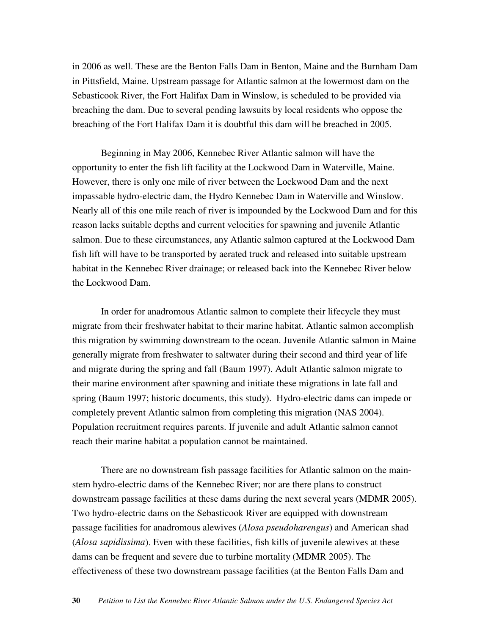in 2006 as well. These are the Benton Falls Dam in Benton, Maine and the Burnham Dam in Pittsfield, Maine. Upstream passage for Atlantic salmon at the lowermost dam on the Sebasticook River, the Fort Halifax Dam in Winslow, is scheduled to be provided via breaching the dam. Due to several pending lawsuits by local residents who oppose the breaching of the Fort Halifax Dam it is doubtful this dam will be breached in 2005.

Beginning in May 2006, Kennebec River Atlantic salmon will have the opportunity to enter the fish lift facility at the Lockwood Dam in Waterville, Maine. However, there is only one mile of river between the Lockwood Dam and the next impassable hydro-electric dam, the Hydro Kennebec Dam in Waterville and Winslow. Nearly all of this one mile reach of river is impounded by the Lockwood Dam and for this reason lacks suitable depths and current velocities for spawning and juvenile Atlantic salmon. Due to these circumstances, any Atlantic salmon captured at the Lockwood Dam fish lift will have to be transported by aerated truck and released into suitable upstream habitat in the Kennebec River drainage; or released back into the Kennebec River below the Lockwood Dam.

In order for anadromous Atlantic salmon to complete their lifecycle they must migrate from their freshwater habitat to their marine habitat. Atlantic salmon accomplish this migration by swimming downstream to the ocean. Juvenile Atlantic salmon in Maine generally migrate from freshwater to saltwater during their second and third year of life and migrate during the spring and fall (Baum 1997). Adult Atlantic salmon migrate to their marine environment after spawning and initiate these migrations in late fall and spring (Baum 1997; historic documents, this study). Hydro-electric dams can impede or completely prevent Atlantic salmon from completing this migration (NAS 2004). Population recruitment requires parents. If juvenile and adult Atlantic salmon cannot reach their marine habitat a population cannot be maintained.

There are no downstream fish passage facilities for Atlantic salmon on the mainstem hydro-electric dams of the Kennebec River; nor are there plans to construct downstream passage facilities at these dams during the next several years (MDMR 2005). Two hydro-electric dams on the Sebasticook River are equipped with downstream passage facilities for anadromous alewives (*Alosa pseudoharengus*) and American shad (*Alosa sapidissima*). Even with these facilities, fish kills of juvenile alewives at these dams can be frequent and severe due to turbine mortality (MDMR 2005). The effectiveness of these two downstream passage facilities (at the Benton Falls Dam and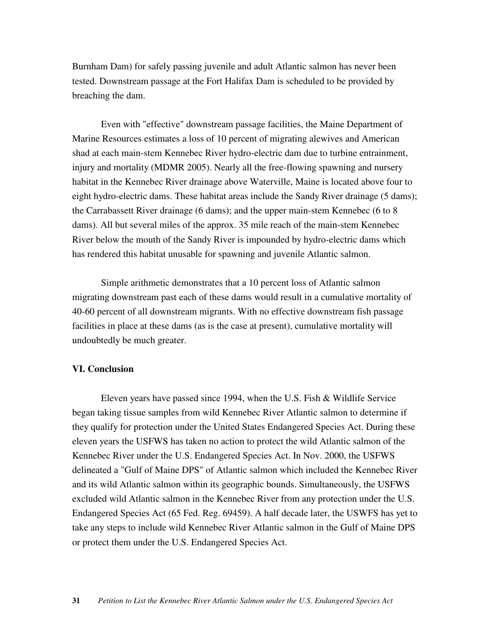Burnham Dam) for safely passing juvenile and adult Atlantic salmon has never been tested. Downstream passage at the Fort Halifax Dam is scheduled to be provided by breaching the dam.

Even with "effective" downstream passage facilities, the Maine Department of Marine Resources estimates a loss of 10 percent of migrating alewives and American shad at each main-stem Kennebec River hydro-electric dam due to turbine entrainment, injury and mortality (MDMR 2005). Nearly all the free-flowing spawning and nursery habitat in the Kennebec River drainage above Waterville, Maine is located above four to eight hydro-electric dams. These habitat areas include the Sandy River drainage (5 dams); the Carrabassett River drainage (6 dams); and the upper main-stem Kennebec (6 to 8 dams). All but several miles of the approx. 35 mile reach of the main-stem Kennebec River below the mouth of the Sandy River is impounded by hydro-electric dams which has rendered this habitat unusable for spawning and juvenile Atlantic salmon.

Simple arithmetic demonstrates that a 10 percent loss of Atlantic salmon migrating downstream past each of these dams would result in a cumulative mortality of 40-60 percent of all downstream migrants. With no effective downstream fish passage facilities in place at these dams (as is the case at present), cumulative mortality will undoubtedly be much greater.

#### **VI. Conclusion**

Eleven years have passed since 1994, when the U.S. Fish & Wildlife Service began taking tissue samples from wild Kennebec River Atlantic salmon to determine if they qualify for protection under the United States Endangered Species Act. During these eleven years the USFWS has taken no action to protect the wild Atlantic salmon of the Kennebec River under the U.S. Endangered Species Act. In Nov. 2000, the USFWS delineated a "Gulf of Maine DPS" of Atlantic salmon which included the Kennebec River and its wild Atlantic salmon within its geographic bounds. Simultaneously, the USFWS excluded wild Atlantic salmon in the Kennebec River from any protection under the U.S. Endangered Species Act (65 Fed. Reg. 69459). A half decade later, the USWFS has yet to take any steps to include wild Kennebec River Atlantic salmon in the Gulf of Maine DPS or protect them under the U.S. Endangered Species Act.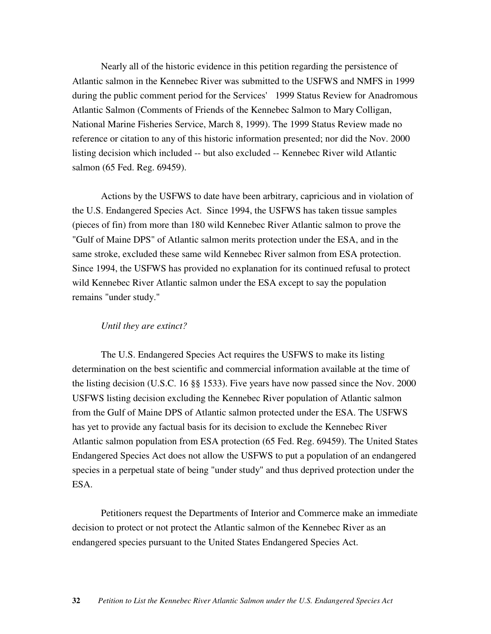Nearly all of the historic evidence in this petition regarding the persistence of Atlantic salmon in the Kennebec River was submitted to the USFWS and NMFS in 1999 during the public comment period for the Services' 1999 Status Review for Anadromous Atlantic Salmon (Comments of Friends of the Kennebec Salmon to Mary Colligan, National Marine Fisheries Service, March 8, 1999). The 1999 Status Review made no reference or citation to any of this historic information presented; nor did the Nov. 2000 listing decision which included -- but also excluded -- Kennebec River wild Atlantic salmon (65 Fed. Reg. 69459).

Actions by the USFWS to date have been arbitrary, capricious and in violation of the U.S. Endangered Species Act. Since 1994, the USFWS has taken tissue samples (pieces of fin) from more than 180 wild Kennebec River Atlantic salmon to prove the "Gulf of Maine DPS" of Atlantic salmon merits protection under the ESA, and in the same stroke, excluded these same wild Kennebec River salmon from ESA protection. Since 1994, the USFWS has provided no explanation for its continued refusal to protect wild Kennebec River Atlantic salmon under the ESA except to say the population remains "under study."

#### *Until they are extinct?*

The U.S. Endangered Species Act requires the USFWS to make its listing determination on the best scientific and commercial information available at the time of the listing decision (U.S.C. 16 §§ 1533). Five years have now passed since the Nov. 2000 USFWS listing decision excluding the Kennebec River population of Atlantic salmon from the Gulf of Maine DPS of Atlantic salmon protected under the ESA. The USFWS has yet to provide any factual basis for its decision to exclude the Kennebec River Atlantic salmon population from ESA protection (65 Fed. Reg. 69459). The United States Endangered Species Act does not allow the USFWS to put a population of an endangered species in a perpetual state of being "under study" and thus deprived protection under the ESA.

Petitioners request the Departments of Interior and Commerce make an immediate decision to protect or not protect the Atlantic salmon of the Kennebec River as an endangered species pursuant to the United States Endangered Species Act.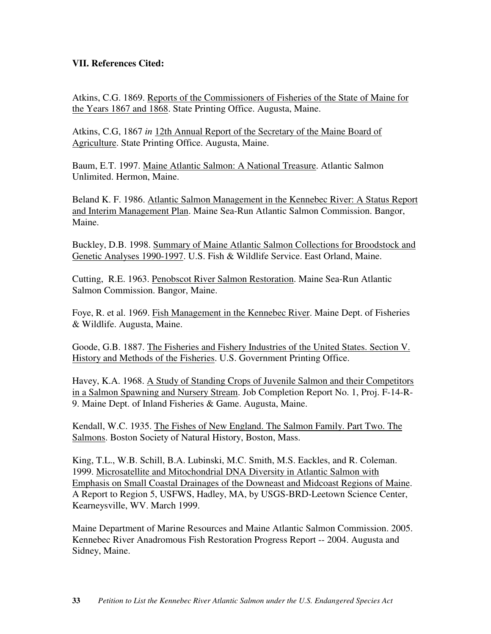# **VII. References Cited:**

Atkins, C.G. 1869. Reports of the Commissioners of Fisheries of the State of Maine for the Years 1867 and 1868. State Printing Office. Augusta, Maine.

Atkins, C.G, 1867 *in* 12th Annual Report of the Secretary of the Maine Board of Agriculture. State Printing Office. Augusta, Maine.

Baum, E.T. 1997. Maine Atlantic Salmon: A National Treasure. Atlantic Salmon Unlimited. Hermon, Maine.

Beland K. F. 1986. Atlantic Salmon Management in the Kennebec River: A Status Report and Interim Management Plan. Maine Sea-Run Atlantic Salmon Commission. Bangor, Maine.

Buckley, D.B. 1998. Summary of Maine Atlantic Salmon Collections for Broodstock and Genetic Analyses 1990-1997. U.S. Fish & Wildlife Service. East Orland, Maine.

Cutting, R.E. 1963. Penobscot River Salmon Restoration. Maine Sea-Run Atlantic Salmon Commission. Bangor, Maine.

Foye, R. et al. 1969. Fish Management in the Kennebec River. Maine Dept. of Fisheries & Wildlife. Augusta, Maine.

Goode, G.B. 1887. The Fisheries and Fishery Industries of the United States. Section V. History and Methods of the Fisheries. U.S. Government Printing Office.

Havey, K.A. 1968. A Study of Standing Crops of Juvenile Salmon and their Competitors in a Salmon Spawning and Nursery Stream. Job Completion Report No. 1, Proj. F-14-R-9. Maine Dept. of Inland Fisheries & Game. Augusta, Maine.

Kendall, W.C. 1935. The Fishes of New England. The Salmon Family. Part Two. The Salmons. Boston Society of Natural History, Boston, Mass.

King, T.L., W.B. Schill, B.A. Lubinski, M.C. Smith, M.S. Eackles, and R. Coleman. 1999. Microsatellite and Mitochondrial DNA Diversity in Atlantic Salmon with Emphasis on Small Coastal Drainages of the Downeast and Midcoast Regions of Maine. A Report to Region 5, USFWS, Hadley, MA, by USGS-BRD-Leetown Science Center, Kearneysville, WV. March 1999.

Maine Department of Marine Resources and Maine Atlantic Salmon Commission. 2005. Kennebec River Anadromous Fish Restoration Progress Report -- 2004. Augusta and Sidney, Maine.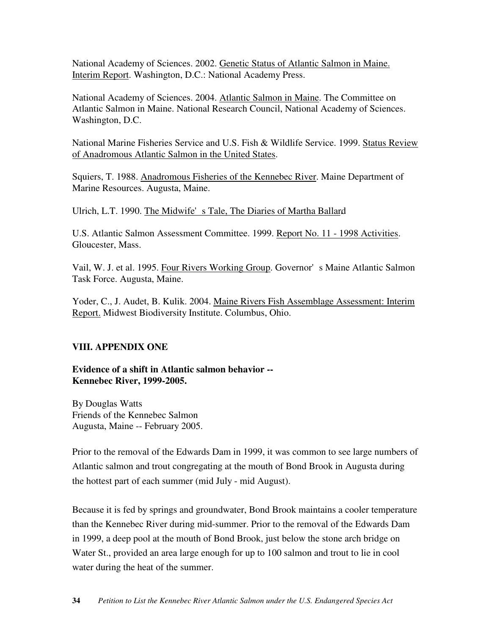National Academy of Sciences. 2002. Genetic Status of Atlantic Salmon in Maine. Interim Report. Washington, D.C.: National Academy Press.

National Academy of Sciences. 2004. Atlantic Salmon in Maine. The Committee on Atlantic Salmon in Maine. National Research Council, National Academy of Sciences. Washington, D.C.

National Marine Fisheries Service and U.S. Fish & Wildlife Service. 1999. Status Review of Anadromous Atlantic Salmon in the United States.

Squiers, T. 1988. Anadromous Fisheries of the Kennebec River. Maine Department of Marine Resources. Augusta, Maine.

Ulrich, L.T. 1990. The Midwife's Tale, The Diaries of Martha Ballard

U.S. Atlantic Salmon Assessment Committee. 1999. Report No. 11 - 1998 Activities. Gloucester, Mass.

Vail, W. J. et al. 1995. Four Rivers Working Group. Governor's Maine Atlantic Salmon Task Force. Augusta, Maine.

Yoder, C., J. Audet, B. Kulik. 2004. Maine Rivers Fish Assemblage Assessment: Interim Report. Midwest Biodiversity Institute. Columbus, Ohio.

# **VIII. APPENDIX ONE**

**Evidence of a shift in Atlantic salmon behavior -- Kennebec River, 1999-2005.**

By Douglas Watts Friends of the Kennebec Salmon Augusta, Maine -- February 2005.

Prior to the removal of the Edwards Dam in 1999, it was common to see large numbers of Atlantic salmon and trout congregating at the mouth of Bond Brook in Augusta during the hottest part of each summer (mid July - mid August).

Because it is fed by springs and groundwater, Bond Brook maintains a cooler temperature than the Kennebec River during mid-summer. Prior to the removal of the Edwards Dam in 1999, a deep pool at the mouth of Bond Brook, just below the stone arch bridge on Water St., provided an area large enough for up to 100 salmon and trout to lie in cool water during the heat of the summer.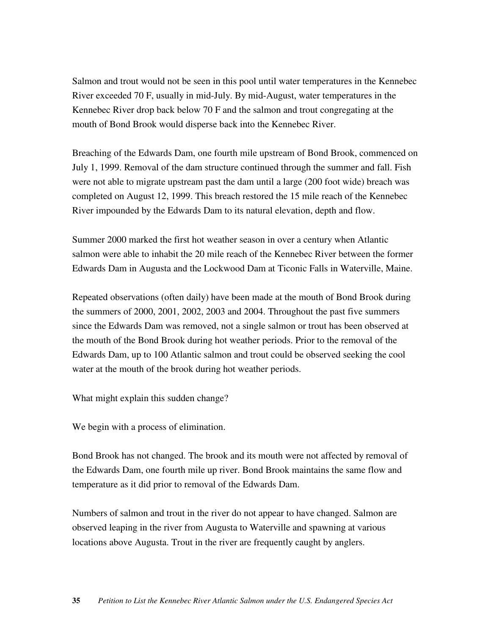Salmon and trout would not be seen in this pool until water temperatures in the Kennebec River exceeded 70 F, usually in mid-July. By mid-August, water temperatures in the Kennebec River drop back below 70 F and the salmon and trout congregating at the mouth of Bond Brook would disperse back into the Kennebec River.

Breaching of the Edwards Dam, one fourth mile upstream of Bond Brook, commenced on July 1, 1999. Removal of the dam structure continued through the summer and fall. Fish were not able to migrate upstream past the dam until a large (200 foot wide) breach was completed on August 12, 1999. This breach restored the 15 mile reach of the Kennebec River impounded by the Edwards Dam to its natural elevation, depth and flow.

Summer 2000 marked the first hot weather season in over a century when Atlantic salmon were able to inhabit the 20 mile reach of the Kennebec River between the former Edwards Dam in Augusta and the Lockwood Dam at Ticonic Falls in Waterville, Maine.

Repeated observations (often daily) have been made at the mouth of Bond Brook during the summers of 2000, 2001, 2002, 2003 and 2004. Throughout the past five summers since the Edwards Dam was removed, not a single salmon or trout has been observed at the mouth of the Bond Brook during hot weather periods. Prior to the removal of the Edwards Dam, up to 100 Atlantic salmon and trout could be observed seeking the cool water at the mouth of the brook during hot weather periods.

What might explain this sudden change?

We begin with a process of elimination.

Bond Brook has not changed. The brook and its mouth were not affected by removal of the Edwards Dam, one fourth mile up river. Bond Brook maintains the same flow and temperature as it did prior to removal of the Edwards Dam.

Numbers of salmon and trout in the river do not appear to have changed. Salmon are observed leaping in the river from Augusta to Waterville and spawning at various locations above Augusta. Trout in the river are frequently caught by anglers.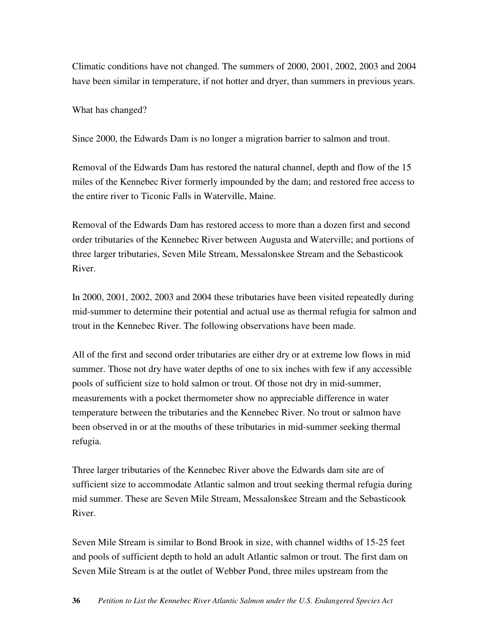Climatic conditions have not changed. The summers of 2000, 2001, 2002, 2003 and 2004 have been similar in temperature, if not hotter and dryer, than summers in previous years.

What has changed?

Since 2000, the Edwards Dam is no longer a migration barrier to salmon and trout.

Removal of the Edwards Dam has restored the natural channel, depth and flow of the 15 miles of the Kennebec River formerly impounded by the dam; and restored free access to the entire river to Ticonic Falls in Waterville, Maine.

Removal of the Edwards Dam has restored access to more than a dozen first and second order tributaries of the Kennebec River between Augusta and Waterville; and portions of three larger tributaries, Seven Mile Stream, Messalonskee Stream and the Sebasticook River.

In 2000, 2001, 2002, 2003 and 2004 these tributaries have been visited repeatedly during mid-summer to determine their potential and actual use as thermal refugia for salmon and trout in the Kennebec River. The following observations have been made.

All of the first and second order tributaries are either dry or at extreme low flows in mid summer. Those not dry have water depths of one to six inches with few if any accessible pools of sufficient size to hold salmon or trout. Of those not dry in mid-summer, measurements with a pocket thermometer show no appreciable difference in water temperature between the tributaries and the Kennebec River. No trout or salmon have been observed in or at the mouths of these tributaries in mid-summer seeking thermal refugia.

Three larger tributaries of the Kennebec River above the Edwards dam site are of sufficient size to accommodate Atlantic salmon and trout seeking thermal refugia during mid summer. These are Seven Mile Stream, Messalonskee Stream and the Sebasticook River.

Seven Mile Stream is similar to Bond Brook in size, with channel widths of 15-25 feet and pools of sufficient depth to hold an adult Atlantic salmon or trout. The first dam on Seven Mile Stream is at the outlet of Webber Pond, three miles upstream from the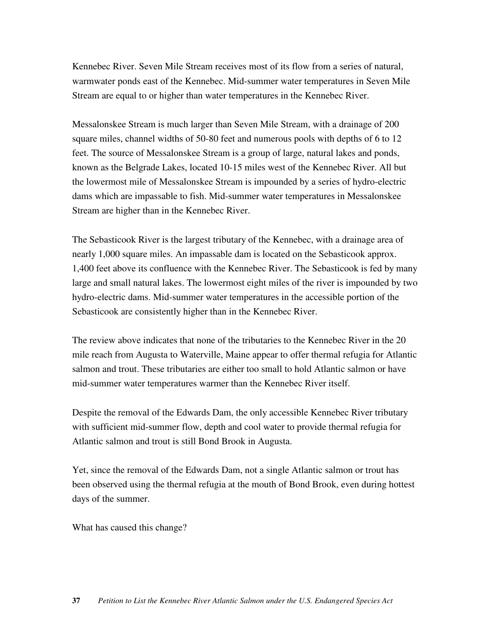Kennebec River. Seven Mile Stream receives most of its flow from a series of natural, warmwater ponds east of the Kennebec. Mid-summer water temperatures in Seven Mile Stream are equal to or higher than water temperatures in the Kennebec River.

Messalonskee Stream is much larger than Seven Mile Stream, with a drainage of 200 square miles, channel widths of 50-80 feet and numerous pools with depths of 6 to 12 feet. The source of Messalonskee Stream is a group of large, natural lakes and ponds, known as the Belgrade Lakes, located 10-15 miles west of the Kennebec River. All but the lowermost mile of Messalonskee Stream is impounded by a series of hydro-electric dams which are impassable to fish. Mid-summer water temperatures in Messalonskee Stream are higher than in the Kennebec River.

The Sebasticook River is the largest tributary of the Kennebec, with a drainage area of nearly 1,000 square miles. An impassable dam is located on the Sebasticook approx. 1,400 feet above its confluence with the Kennebec River. The Sebasticook is fed by many large and small natural lakes. The lowermost eight miles of the river is impounded by two hydro-electric dams. Mid-summer water temperatures in the accessible portion of the Sebasticook are consistently higher than in the Kennebec River.

The review above indicates that none of the tributaries to the Kennebec River in the 20 mile reach from Augusta to Waterville, Maine appear to offer thermal refugia for Atlantic salmon and trout. These tributaries are either too small to hold Atlantic salmon or have mid-summer water temperatures warmer than the Kennebec River itself.

Despite the removal of the Edwards Dam, the only accessible Kennebec River tributary with sufficient mid-summer flow, depth and cool water to provide thermal refugia for Atlantic salmon and trout is still Bond Brook in Augusta.

Yet, since the removal of the Edwards Dam, not a single Atlantic salmon or trout has been observed using the thermal refugia at the mouth of Bond Brook, even during hottest days of the summer.

What has caused this change?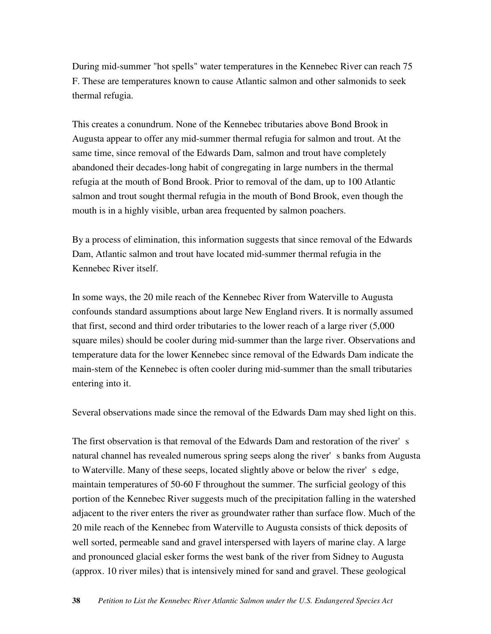During mid-summer "hot spells" water temperatures in the Kennebec River can reach 75 F. These are temperatures known to cause Atlantic salmon and other salmonids to seek thermal refugia.

This creates a conundrum. None of the Kennebec tributaries above Bond Brook in Augusta appear to offer any mid-summer thermal refugia for salmon and trout. At the same time, since removal of the Edwards Dam, salmon and trout have completely abandoned their decades-long habit of congregating in large numbers in the thermal refugia at the mouth of Bond Brook. Prior to removal of the dam, up to 100 Atlantic salmon and trout sought thermal refugia in the mouth of Bond Brook, even though the mouth is in a highly visible, urban area frequented by salmon poachers.

By a process of elimination, this information suggests that since removal of the Edwards Dam, Atlantic salmon and trout have located mid-summer thermal refugia in the Kennebec River itself.

In some ways, the 20 mile reach of the Kennebec River from Waterville to Augusta confounds standard assumptions about large New England rivers. It is normally assumed that first, second and third order tributaries to the lower reach of a large river (5,000 square miles) should be cooler during mid-summer than the large river. Observations and temperature data for the lower Kennebec since removal of the Edwards Dam indicate the main-stem of the Kennebec is often cooler during mid-summer than the small tributaries entering into it.

Several observations made since the removal of the Edwards Dam may shed light on this.

The first observation is that removal of the Edwards Dam and restoration of the river's natural channel has revealed numerous spring seeps along the river's banks from Augusta to Waterville. Many of these seeps, located slightly above or below the river's edge, maintain temperatures of 50-60 F throughout the summer. The surficial geology of this portion of the Kennebec River suggests much of the precipitation falling in the watershed adjacent to the river enters the river as groundwater rather than surface flow. Much of the 20 mile reach of the Kennebec from Waterville to Augusta consists of thick deposits of well sorted, permeable sand and gravel interspersed with layers of marine clay. A large and pronounced glacial esker forms the west bank of the river from Sidney to Augusta (approx. 10 river miles) that is intensively mined for sand and gravel. These geological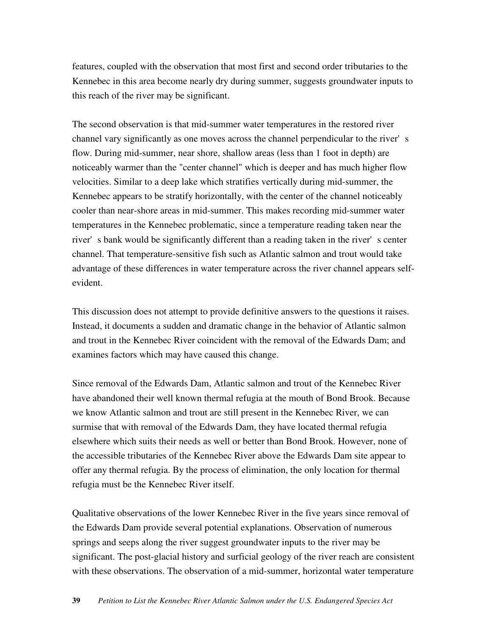features, coupled with the observation that most first and second order tributaries to the Kennebec in this area become nearly dry during summer, suggests groundwater inputs to this reach of the river may be significant.

The second observation is that mid-summer water temperatures in the restored river channel vary significantly as one moves across the channel perpendicular to the river's flow. During mid-summer, near shore, shallow areas (less than 1 foot in depth) are noticeably warmer than the "center channel" which is deeper and has much higher flow velocities. Similar to a deep lake which stratifies vertically during mid-summer, the Kennebec appears to be stratify horizontally, with the center of the channel noticeably cooler than near-shore areas in mid-summer. This makes recording mid-summer water temperatures in the Kennebec problematic, since a temperature reading taken near the river's bank would be significantly different than a reading taken in the river's center channel. That temperature-sensitive fish such as Atlantic salmon and trout would take advantage of these differences in water temperature across the river channel appears selfevident.

This discussion does not attempt to provide definitive answers to the questions it raises. Instead, it documents a sudden and dramatic change in the behavior of Atlantic salmon and trout in the Kennebec River coincident with the removal of the Edwards Dam; and examines factors which may have caused this change.

Since removal of the Edwards Dam, Atlantic salmon and trout of the Kennebec River have abandoned their well known thermal refugia at the mouth of Bond Brook. Because we know Atlantic salmon and trout are still present in the Kennebec River, we can surmise that with removal of the Edwards Dam, they have located thermal refugia elsewhere which suits their needs as well or better than Bond Brook. However, none of the accessible tributaries of the Kennebec River above the Edwards Dam site appear to offer any thermal refugia. By the process of elimination, the only location for thermal refugia must be the Kennebec River itself.

Qualitative observations of the lower Kennebec River in the five years since removal of the Edwards Dam provide several potential explanations. Observation of numerous springs and seeps along the river suggest groundwater inputs to the river may be significant. The post-glacial history and surficial geology of the river reach are consistent with these observations. The observation of a mid-summer, horizontal water temperature